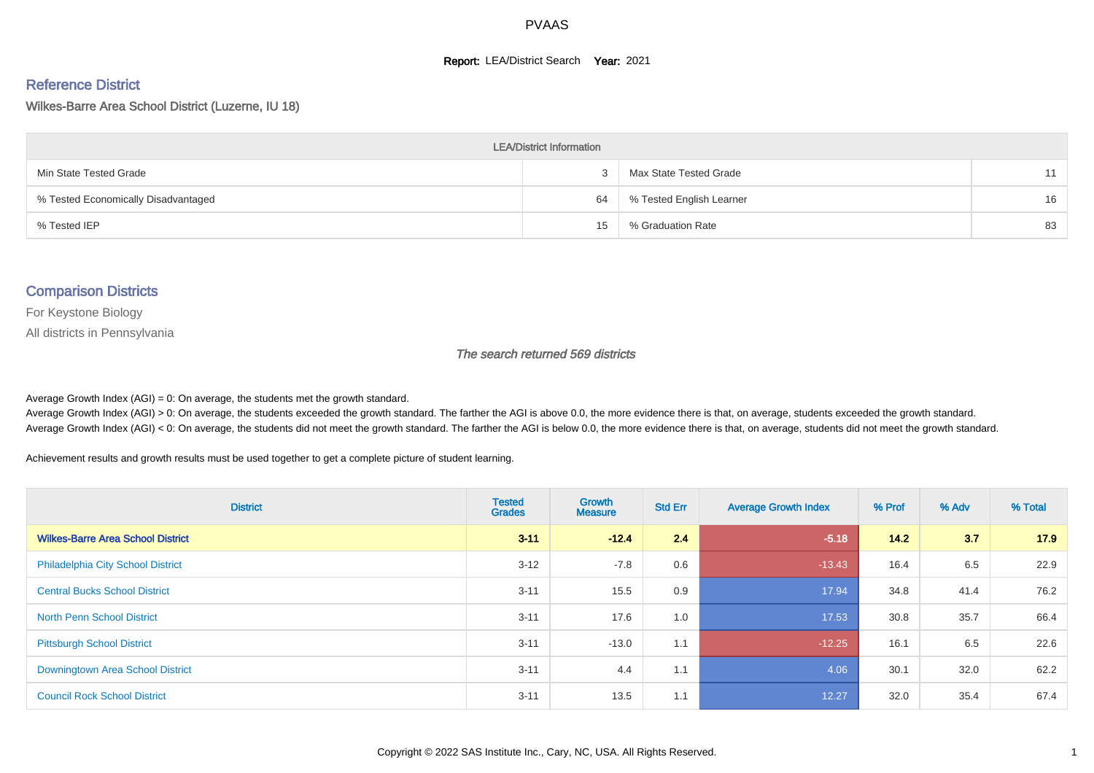#### **Report: LEA/District Search Year: 2021**

#### Reference District

#### Wilkes-Barre Area School District (Luzerne, IU 18)

| <b>LEA/District Information</b>     |    |                          |    |  |  |  |  |  |  |  |
|-------------------------------------|----|--------------------------|----|--|--|--|--|--|--|--|
| Min State Tested Grade              |    | Max State Tested Grade   | 11 |  |  |  |  |  |  |  |
| % Tested Economically Disadvantaged | 64 | % Tested English Learner | 16 |  |  |  |  |  |  |  |
| % Tested IEP                        | 15 | % Graduation Rate        | 83 |  |  |  |  |  |  |  |

#### Comparison Districts

For Keystone Biology

All districts in Pennsylvania

The search returned 569 districts

Average Growth Index  $(AGI) = 0$ : On average, the students met the growth standard.

Average Growth Index (AGI) > 0: On average, the students exceeded the growth standard. The farther the AGI is above 0.0, the more evidence there is that, on average, students exceeded the growth standard. Average Growth Index (AGI) < 0: On average, the students did not meet the growth standard. The farther the AGI is below 0.0, the more evidence there is that, on average, students did not meet the growth standard.

Achievement results and growth results must be used together to get a complete picture of student learning.

| <b>District</b>                          | <b>Tested</b><br><b>Grades</b> | Growth<br><b>Measure</b> | <b>Std Err</b> | <b>Average Growth Index</b> | % Prof | % Adv | % Total |
|------------------------------------------|--------------------------------|--------------------------|----------------|-----------------------------|--------|-------|---------|
| <b>Wilkes-Barre Area School District</b> | $3 - 11$                       | $-12.4$                  | 2.4            | $-5.18$                     | 14.2   | 3.7   | 17.9    |
| <b>Philadelphia City School District</b> | $3 - 12$                       | $-7.8$                   | 0.6            | $-13.43$                    | 16.4   | 6.5   | 22.9    |
| <b>Central Bucks School District</b>     | $3 - 11$                       | 15.5                     | 0.9            | 17.94                       | 34.8   | 41.4  | 76.2    |
| <b>North Penn School District</b>        | $3 - 11$                       | 17.6                     | 1.0            | 17.53                       | 30.8   | 35.7  | 66.4    |
| <b>Pittsburgh School District</b>        | $3 - 11$                       | $-13.0$                  | 1.1            | $-12.25$                    | 16.1   | 6.5   | 22.6    |
| <b>Downingtown Area School District</b>  | $3 - 11$                       | 4.4                      | 1.1            | 4.06                        | 30.1   | 32.0  | 62.2    |
| <b>Council Rock School District</b>      | $3 - 11$                       | 13.5                     | 1.1            | 12.27                       | 32.0   | 35.4  | 67.4    |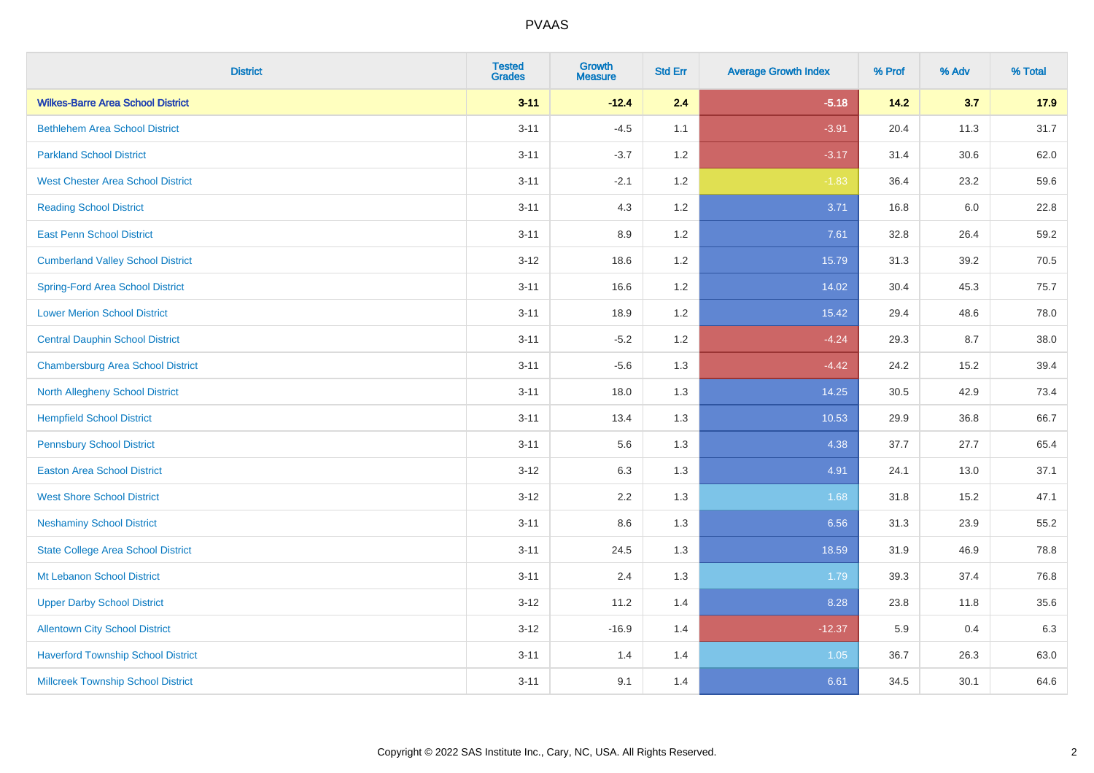| <b>District</b>                           | <b>Tested</b><br><b>Grades</b> | Growth<br><b>Measure</b> | <b>Std Err</b> | <b>Average Growth Index</b> | % Prof | % Adv | % Total |
|-------------------------------------------|--------------------------------|--------------------------|----------------|-----------------------------|--------|-------|---------|
| <b>Wilkes-Barre Area School District</b>  | $3 - 11$                       | $-12.4$                  | 2.4            | $-5.18$                     | 14.2   | 3.7   | 17.9    |
| <b>Bethlehem Area School District</b>     | $3 - 11$                       | $-4.5$                   | 1.1            | $-3.91$                     | 20.4   | 11.3  | 31.7    |
| <b>Parkland School District</b>           | $3 - 11$                       | $-3.7$                   | 1.2            | $-3.17$                     | 31.4   | 30.6  | 62.0    |
| <b>West Chester Area School District</b>  | $3 - 11$                       | $-2.1$                   | $1.2\,$        | $-1.83$                     | 36.4   | 23.2  | 59.6    |
| <b>Reading School District</b>            | $3 - 11$                       | 4.3                      | 1.2            | 3.71                        | 16.8   | 6.0   | 22.8    |
| <b>East Penn School District</b>          | $3 - 11$                       | 8.9                      | 1.2            | 7.61                        | 32.8   | 26.4  | 59.2    |
| <b>Cumberland Valley School District</b>  | $3 - 12$                       | 18.6                     | 1.2            | 15.79                       | 31.3   | 39.2  | 70.5    |
| <b>Spring-Ford Area School District</b>   | $3 - 11$                       | 16.6                     | 1.2            | 14.02                       | 30.4   | 45.3  | 75.7    |
| <b>Lower Merion School District</b>       | $3 - 11$                       | 18.9                     | 1.2            | 15.42                       | 29.4   | 48.6  | 78.0    |
| <b>Central Dauphin School District</b>    | $3 - 11$                       | $-5.2$                   | 1.2            | $-4.24$                     | 29.3   | 8.7   | 38.0    |
| <b>Chambersburg Area School District</b>  | $3 - 11$                       | $-5.6$                   | 1.3            | $-4.42$                     | 24.2   | 15.2  | 39.4    |
| <b>North Allegheny School District</b>    | $3 - 11$                       | 18.0                     | 1.3            | 14.25                       | 30.5   | 42.9  | 73.4    |
| <b>Hempfield School District</b>          | $3 - 11$                       | 13.4                     | 1.3            | 10.53                       | 29.9   | 36.8  | 66.7    |
| <b>Pennsbury School District</b>          | $3 - 11$                       | 5.6                      | 1.3            | 4.38                        | 37.7   | 27.7  | 65.4    |
| <b>Easton Area School District</b>        | $3 - 12$                       | 6.3                      | 1.3            | 4.91                        | 24.1   | 13.0  | 37.1    |
| <b>West Shore School District</b>         | $3 - 12$                       | 2.2                      | 1.3            | 1.68                        | 31.8   | 15.2  | 47.1    |
| <b>Neshaminy School District</b>          | $3 - 11$                       | 8.6                      | 1.3            | 6.56                        | 31.3   | 23.9  | 55.2    |
| <b>State College Area School District</b> | $3 - 11$                       | 24.5                     | 1.3            | 18.59                       | 31.9   | 46.9  | 78.8    |
| Mt Lebanon School District                | $3 - 11$                       | 2.4                      | 1.3            | 1.79                        | 39.3   | 37.4  | 76.8    |
| <b>Upper Darby School District</b>        | $3 - 12$                       | 11.2                     | 1.4            | 8.28                        | 23.8   | 11.8  | 35.6    |
| <b>Allentown City School District</b>     | $3-12$                         | $-16.9$                  | 1.4            | $-12.37$                    | 5.9    | 0.4   | 6.3     |
| <b>Haverford Township School District</b> | $3 - 11$                       | 1.4                      | 1.4            | 1.05                        | 36.7   | 26.3  | 63.0    |
| <b>Millcreek Township School District</b> | $3 - 11$                       | 9.1                      | 1.4            | 6.61                        | 34.5   | 30.1  | 64.6    |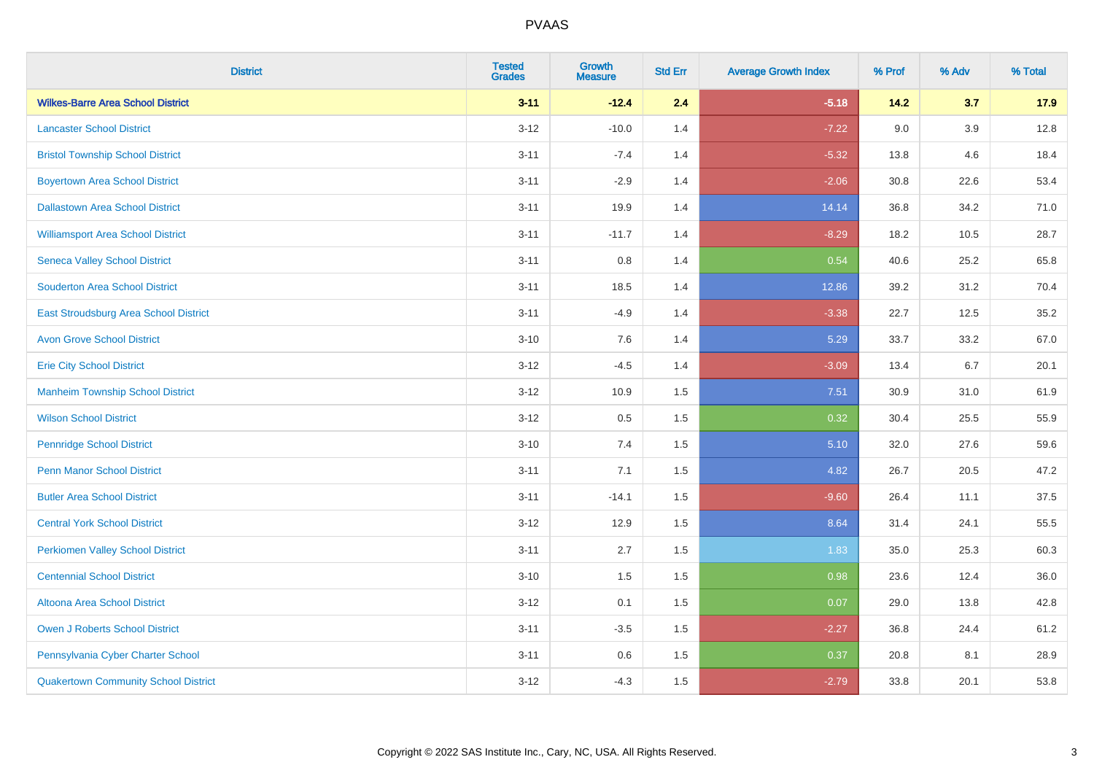| <b>District</b>                             | <b>Tested</b><br><b>Grades</b> | <b>Growth</b><br><b>Measure</b> | <b>Std Err</b> | <b>Average Growth Index</b> | % Prof | % Adv   | % Total |
|---------------------------------------------|--------------------------------|---------------------------------|----------------|-----------------------------|--------|---------|---------|
| <b>Wilkes-Barre Area School District</b>    | $3 - 11$                       | $-12.4$                         | 2.4            | $-5.18$                     | 14.2   | 3.7     | 17.9    |
| <b>Lancaster School District</b>            | $3 - 12$                       | $-10.0$                         | 1.4            | $-7.22$                     | 9.0    | $3.9\,$ | 12.8    |
| <b>Bristol Township School District</b>     | $3 - 11$                       | $-7.4$                          | 1.4            | $-5.32$                     | 13.8   | 4.6     | 18.4    |
| <b>Boyertown Area School District</b>       | $3 - 11$                       | $-2.9$                          | 1.4            | $-2.06$                     | 30.8   | 22.6    | 53.4    |
| <b>Dallastown Area School District</b>      | $3 - 11$                       | 19.9                            | 1.4            | 14.14                       | 36.8   | 34.2    | 71.0    |
| <b>Williamsport Area School District</b>    | $3 - 11$                       | $-11.7$                         | 1.4            | $-8.29$                     | 18.2   | 10.5    | 28.7    |
| <b>Seneca Valley School District</b>        | $3 - 11$                       | 0.8                             | 1.4            | 0.54                        | 40.6   | 25.2    | 65.8    |
| <b>Souderton Area School District</b>       | $3 - 11$                       | 18.5                            | 1.4            | 12.86                       | 39.2   | 31.2    | 70.4    |
| East Stroudsburg Area School District       | $3 - 11$                       | $-4.9$                          | 1.4            | $-3.38$                     | 22.7   | 12.5    | 35.2    |
| <b>Avon Grove School District</b>           | $3 - 10$                       | 7.6                             | 1.4            | 5.29                        | 33.7   | 33.2    | 67.0    |
| <b>Erie City School District</b>            | $3 - 12$                       | $-4.5$                          | 1.4            | $-3.09$                     | 13.4   | 6.7     | 20.1    |
| <b>Manheim Township School District</b>     | $3 - 12$                       | 10.9                            | 1.5            | 7.51                        | 30.9   | 31.0    | 61.9    |
| <b>Wilson School District</b>               | $3 - 12$                       | 0.5                             | 1.5            | 0.32                        | 30.4   | 25.5    | 55.9    |
| <b>Pennridge School District</b>            | $3 - 10$                       | 7.4                             | 1.5            | 5.10                        | 32.0   | 27.6    | 59.6    |
| <b>Penn Manor School District</b>           | $3 - 11$                       | 7.1                             | 1.5            | 4.82                        | 26.7   | 20.5    | 47.2    |
| <b>Butler Area School District</b>          | $3 - 11$                       | $-14.1$                         | 1.5            | $-9.60$                     | 26.4   | 11.1    | 37.5    |
| <b>Central York School District</b>         | $3 - 12$                       | 12.9                            | 1.5            | 8.64                        | 31.4   | 24.1    | 55.5    |
| <b>Perkiomen Valley School District</b>     | $3 - 11$                       | 2.7                             | 1.5            | 1.83                        | 35.0   | 25.3    | 60.3    |
| <b>Centennial School District</b>           | $3 - 10$                       | 1.5                             | 1.5            | 0.98                        | 23.6   | 12.4    | 36.0    |
| Altoona Area School District                | $3 - 12$                       | 0.1                             | 1.5            | 0.07                        | 29.0   | 13.8    | 42.8    |
| Owen J Roberts School District              | $3 - 11$                       | $-3.5$                          | 1.5            | $-2.27$                     | 36.8   | 24.4    | 61.2    |
| Pennsylvania Cyber Charter School           | $3 - 11$                       | 0.6                             | 1.5            | 0.37                        | 20.8   | 8.1     | 28.9    |
| <b>Quakertown Community School District</b> | $3 - 12$                       | $-4.3$                          | 1.5            | $-2.79$                     | 33.8   | 20.1    | 53.8    |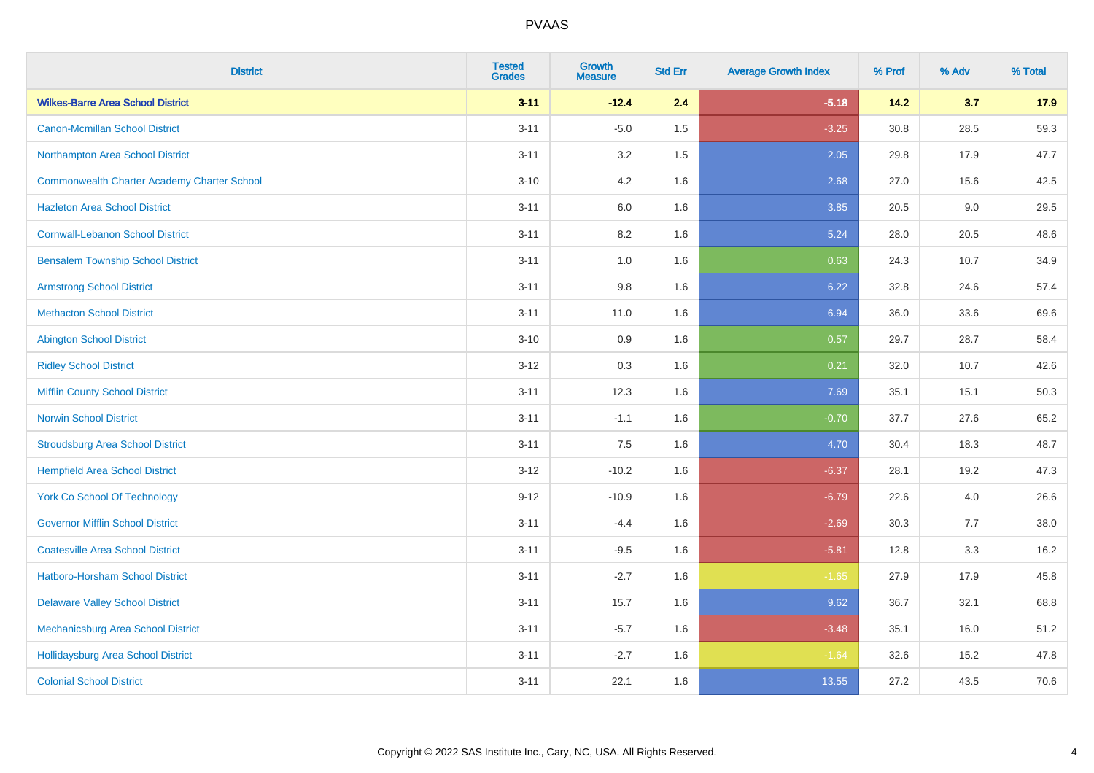| <b>District</b>                                    | <b>Tested</b><br><b>Grades</b> | <b>Growth</b><br><b>Measure</b> | <b>Std Err</b> | <b>Average Growth Index</b> | % Prof | % Adv | % Total |
|----------------------------------------------------|--------------------------------|---------------------------------|----------------|-----------------------------|--------|-------|---------|
| <b>Wilkes-Barre Area School District</b>           | $3 - 11$                       | $-12.4$                         | 2.4            | $-5.18$                     | 14.2   | 3.7   | 17.9    |
| Canon-Mcmillan School District                     | $3 - 11$                       | $-5.0$                          | $1.5\,$        | $-3.25$                     | 30.8   | 28.5  | 59.3    |
| Northampton Area School District                   | $3 - 11$                       | 3.2                             | 1.5            | 2.05                        | 29.8   | 17.9  | 47.7    |
| <b>Commonwealth Charter Academy Charter School</b> | $3 - 10$                       | 4.2                             | 1.6            | 2.68                        | 27.0   | 15.6  | 42.5    |
| <b>Hazleton Area School District</b>               | $3 - 11$                       | 6.0                             | 1.6            | 3.85                        | 20.5   | 9.0   | 29.5    |
| <b>Cornwall-Lebanon School District</b>            | $3 - 11$                       | 8.2                             | 1.6            | 5.24                        | 28.0   | 20.5  | 48.6    |
| <b>Bensalem Township School District</b>           | $3 - 11$                       | 1.0                             | 1.6            | 0.63                        | 24.3   | 10.7  | 34.9    |
| <b>Armstrong School District</b>                   | $3 - 11$                       | $9.8\,$                         | 1.6            | 6.22                        | 32.8   | 24.6  | 57.4    |
| <b>Methacton School District</b>                   | $3 - 11$                       | 11.0                            | 1.6            | 6.94                        | 36.0   | 33.6  | 69.6    |
| <b>Abington School District</b>                    | $3 - 10$                       | 0.9                             | 1.6            | 0.57                        | 29.7   | 28.7  | 58.4    |
| <b>Ridley School District</b>                      | $3 - 12$                       | 0.3                             | 1.6            | 0.21                        | 32.0   | 10.7  | 42.6    |
| <b>Mifflin County School District</b>              | $3 - 11$                       | 12.3                            | 1.6            | 7.69                        | 35.1   | 15.1  | 50.3    |
| <b>Norwin School District</b>                      | $3 - 11$                       | $-1.1$                          | 1.6            | $-0.70$                     | 37.7   | 27.6  | 65.2    |
| <b>Stroudsburg Area School District</b>            | $3 - 11$                       | 7.5                             | 1.6            | 4.70                        | 30.4   | 18.3  | 48.7    |
| <b>Hempfield Area School District</b>              | $3 - 12$                       | $-10.2$                         | 1.6            | $-6.37$                     | 28.1   | 19.2  | 47.3    |
| <b>York Co School Of Technology</b>                | $9 - 12$                       | $-10.9$                         | 1.6            | $-6.79$                     | 22.6   | 4.0   | 26.6    |
| <b>Governor Mifflin School District</b>            | $3 - 11$                       | $-4.4$                          | 1.6            | $-2.69$                     | 30.3   | 7.7   | 38.0    |
| <b>Coatesville Area School District</b>            | $3 - 11$                       | $-9.5$                          | 1.6            | $-5.81$                     | 12.8   | 3.3   | 16.2    |
| <b>Hatboro-Horsham School District</b>             | $3 - 11$                       | $-2.7$                          | 1.6            | $-1.65$                     | 27.9   | 17.9  | 45.8    |
| <b>Delaware Valley School District</b>             | $3 - 11$                       | 15.7                            | 1.6            | 9.62                        | 36.7   | 32.1  | 68.8    |
| Mechanicsburg Area School District                 | $3 - 11$                       | $-5.7$                          | 1.6            | $-3.48$                     | 35.1   | 16.0  | 51.2    |
| <b>Hollidaysburg Area School District</b>          | $3 - 11$                       | $-2.7$                          | 1.6            | $-1.64$                     | 32.6   | 15.2  | 47.8    |
| <b>Colonial School District</b>                    | $3 - 11$                       | 22.1                            | 1.6            | 13.55                       | 27.2   | 43.5  | 70.6    |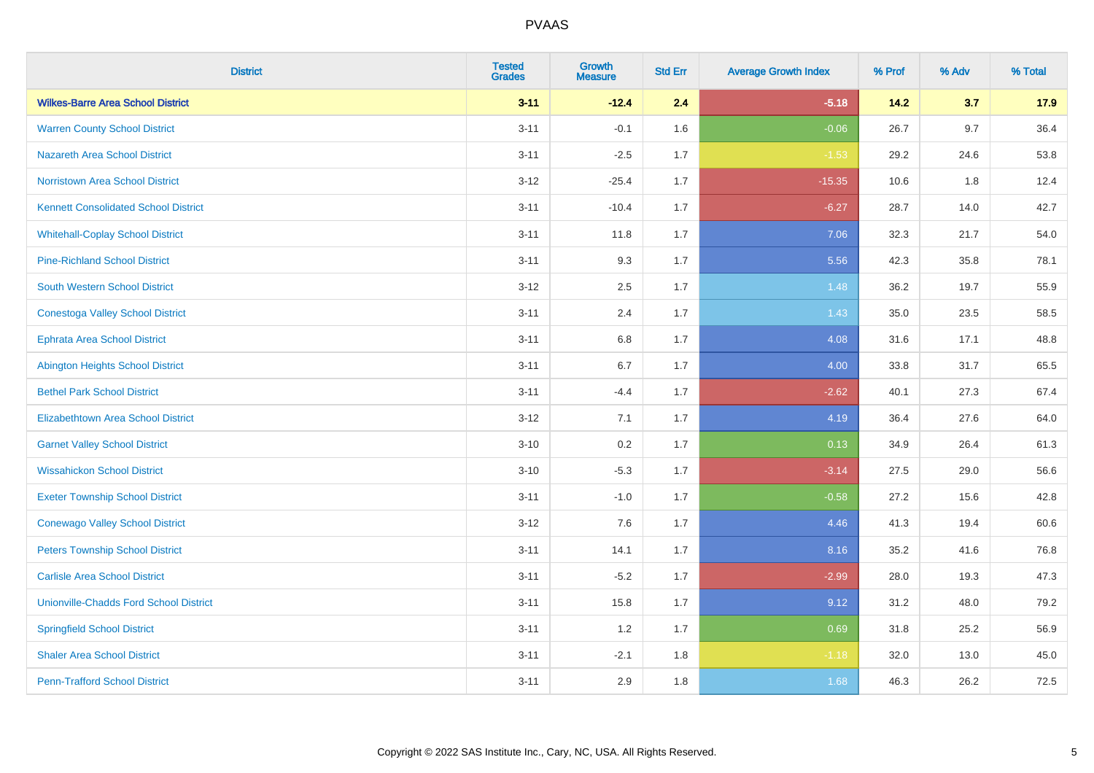| <b>District</b>                               | <b>Tested</b><br><b>Grades</b> | <b>Growth</b><br><b>Measure</b> | <b>Std Err</b> | <b>Average Growth Index</b> | % Prof | % Adv   | % Total |
|-----------------------------------------------|--------------------------------|---------------------------------|----------------|-----------------------------|--------|---------|---------|
| <b>Wilkes-Barre Area School District</b>      | $3 - 11$                       | $-12.4$                         | 2.4            | $-5.18$                     | 14.2   | 3.7     | 17.9    |
| <b>Warren County School District</b>          | $3 - 11$                       | $-0.1$                          | 1.6            | $-0.06$                     | 26.7   | $9.7\,$ | 36.4    |
| Nazareth Area School District                 | $3 - 11$                       | $-2.5$                          | 1.7            | $-1.53$                     | 29.2   | 24.6    | 53.8    |
| <b>Norristown Area School District</b>        | $3-12$                         | $-25.4$                         | 1.7            | $-15.35$                    | 10.6   | 1.8     | 12.4    |
| <b>Kennett Consolidated School District</b>   | $3 - 11$                       | $-10.4$                         | 1.7            | $-6.27$                     | 28.7   | 14.0    | 42.7    |
| <b>Whitehall-Coplay School District</b>       | $3 - 11$                       | 11.8                            | 1.7            | 7.06                        | 32.3   | 21.7    | 54.0    |
| <b>Pine-Richland School District</b>          | $3 - 11$                       | 9.3                             | 1.7            | 5.56                        | 42.3   | 35.8    | 78.1    |
| <b>South Western School District</b>          | $3 - 12$                       | 2.5                             | 1.7            | 1.48                        | 36.2   | 19.7    | 55.9    |
| <b>Conestoga Valley School District</b>       | $3 - 11$                       | 2.4                             | 1.7            | 1.43                        | 35.0   | 23.5    | 58.5    |
| Ephrata Area School District                  | $3 - 11$                       | 6.8                             | 1.7            | 4.08                        | 31.6   | 17.1    | 48.8    |
| <b>Abington Heights School District</b>       | $3 - 11$                       | 6.7                             | 1.7            | 4.00                        | 33.8   | 31.7    | 65.5    |
| <b>Bethel Park School District</b>            | $3 - 11$                       | $-4.4$                          | 1.7            | $-2.62$                     | 40.1   | 27.3    | 67.4    |
| <b>Elizabethtown Area School District</b>     | $3 - 12$                       | 7.1                             | 1.7            | 4.19                        | 36.4   | 27.6    | 64.0    |
| <b>Garnet Valley School District</b>          | $3 - 10$                       | 0.2                             | 1.7            | 0.13                        | 34.9   | 26.4    | 61.3    |
| <b>Wissahickon School District</b>            | $3 - 10$                       | $-5.3$                          | 1.7            | $-3.14$                     | 27.5   | 29.0    | 56.6    |
| <b>Exeter Township School District</b>        | $3 - 11$                       | $-1.0$                          | 1.7            | $-0.58$                     | 27.2   | 15.6    | 42.8    |
| <b>Conewago Valley School District</b>        | $3 - 12$                       | 7.6                             | 1.7            | 4.46                        | 41.3   | 19.4    | 60.6    |
| <b>Peters Township School District</b>        | $3 - 11$                       | 14.1                            | 1.7            | 8.16                        | 35.2   | 41.6    | 76.8    |
| <b>Carlisle Area School District</b>          | $3 - 11$                       | $-5.2$                          | 1.7            | $-2.99$                     | 28.0   | 19.3    | 47.3    |
| <b>Unionville-Chadds Ford School District</b> | $3 - 11$                       | 15.8                            | 1.7            | 9.12                        | 31.2   | 48.0    | 79.2    |
| <b>Springfield School District</b>            | $3 - 11$                       | 1.2                             | 1.7            | 0.69                        | 31.8   | 25.2    | 56.9    |
| <b>Shaler Area School District</b>            | $3 - 11$                       | $-2.1$                          | 1.8            | $-1.18$                     | 32.0   | 13.0    | 45.0    |
| <b>Penn-Trafford School District</b>          | $3 - 11$                       | 2.9                             | 1.8            | 1.68                        | 46.3   | 26.2    | 72.5    |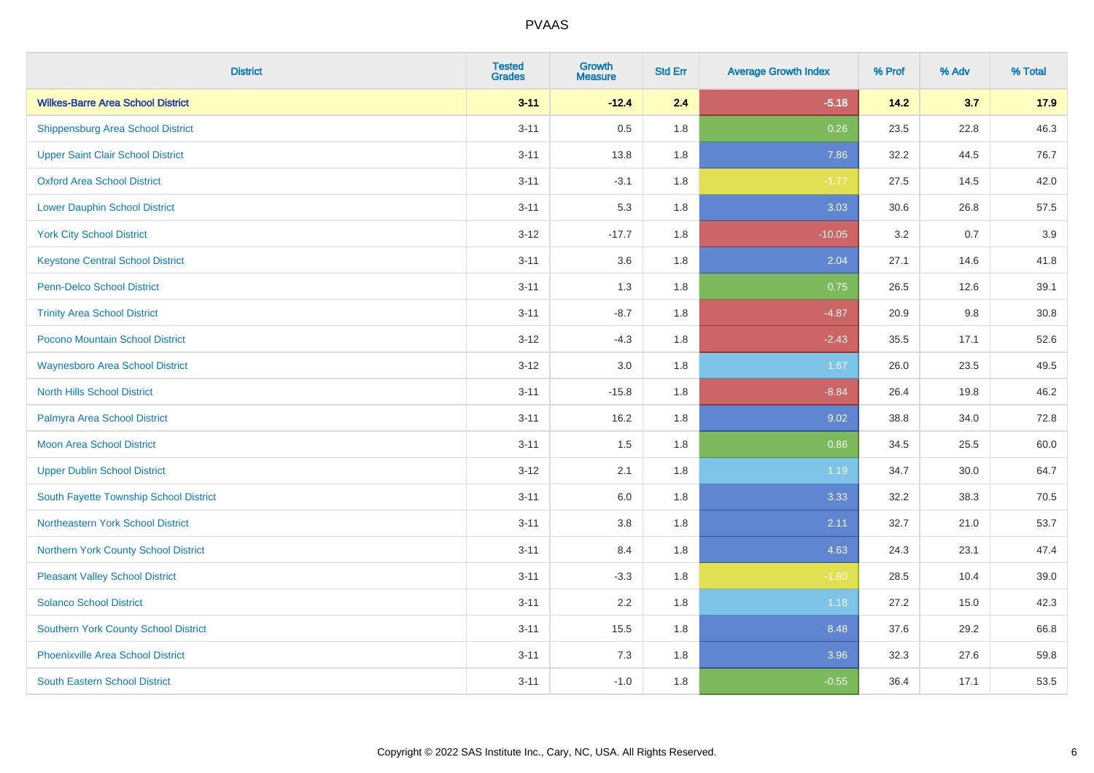| <b>District</b>                             | <b>Tested</b><br><b>Grades</b> | <b>Growth</b><br><b>Measure</b> | <b>Std Err</b> | <b>Average Growth Index</b> | % Prof | % Adv | % Total |
|---------------------------------------------|--------------------------------|---------------------------------|----------------|-----------------------------|--------|-------|---------|
| <b>Wilkes-Barre Area School District</b>    | $3 - 11$                       | $-12.4$                         | 2.4            | $-5.18$                     | 14.2   | 3.7   | 17.9    |
| <b>Shippensburg Area School District</b>    | $3 - 11$                       | 0.5                             | 1.8            | 0.26                        | 23.5   | 22.8  | 46.3    |
| <b>Upper Saint Clair School District</b>    | $3 - 11$                       | 13.8                            | 1.8            | 7.86                        | 32.2   | 44.5  | 76.7    |
| <b>Oxford Area School District</b>          | $3 - 11$                       | $-3.1$                          | 1.8            | $-1.77$                     | 27.5   | 14.5  | 42.0    |
| <b>Lower Dauphin School District</b>        | $3 - 11$                       | 5.3                             | 1.8            | 3.03                        | 30.6   | 26.8  | 57.5    |
| <b>York City School District</b>            | $3 - 12$                       | $-17.7$                         | 1.8            | $-10.05$                    | 3.2    | 0.7   | 3.9     |
| <b>Keystone Central School District</b>     | $3 - 11$                       | 3.6                             | 1.8            | 2.04                        | 27.1   | 14.6  | 41.8    |
| <b>Penn-Delco School District</b>           | $3 - 11$                       | 1.3                             | 1.8            | 0.75                        | 26.5   | 12.6  | 39.1    |
| <b>Trinity Area School District</b>         | $3 - 11$                       | $-8.7$                          | 1.8            | $-4.87$                     | 20.9   | 9.8   | 30.8    |
| Pocono Mountain School District             | $3-12$                         | $-4.3$                          | 1.8            | $-2.43$                     | 35.5   | 17.1  | 52.6    |
| <b>Waynesboro Area School District</b>      | $3-12$                         | 3.0                             | 1.8            | 1.67                        | 26.0   | 23.5  | 49.5    |
| <b>North Hills School District</b>          | $3 - 11$                       | $-15.8$                         | 1.8            | $-8.84$                     | 26.4   | 19.8  | 46.2    |
| Palmyra Area School District                | $3 - 11$                       | 16.2                            | 1.8            | 9.02                        | 38.8   | 34.0  | 72.8    |
| <b>Moon Area School District</b>            | $3 - 11$                       | 1.5                             | 1.8            | 0.86                        | 34.5   | 25.5  | 60.0    |
| <b>Upper Dublin School District</b>         | $3 - 12$                       | 2.1                             | 1.8            | 1.19                        | 34.7   | 30.0  | 64.7    |
| South Fayette Township School District      | $3 - 11$                       | 6.0                             | 1.8            | 3.33                        | 32.2   | 38.3  | 70.5    |
| Northeastern York School District           | $3 - 11$                       | 3.8                             | 1.8            | 2.11                        | 32.7   | 21.0  | 53.7    |
| Northern York County School District        | $3 - 11$                       | 8.4                             | 1.8            | 4.63                        | 24.3   | 23.1  | 47.4    |
| <b>Pleasant Valley School District</b>      | $3 - 11$                       | $-3.3$                          | 1.8            | $-1.80$                     | 28.5   | 10.4  | 39.0    |
| <b>Solanco School District</b>              | $3 - 11$                       | 2.2                             | 1.8            | 1.18                        | 27.2   | 15.0  | 42.3    |
| <b>Southern York County School District</b> | $3 - 11$                       | 15.5                            | 1.8            | 8.48                        | 37.6   | 29.2  | 66.8    |
| <b>Phoenixville Area School District</b>    | $3 - 11$                       | 7.3                             | 1.8            | 3.96                        | 32.3   | 27.6  | 59.8    |
| <b>South Eastern School District</b>        | $3 - 11$                       | $-1.0$                          | 1.8            | $-0.55$                     | 36.4   | 17.1  | 53.5    |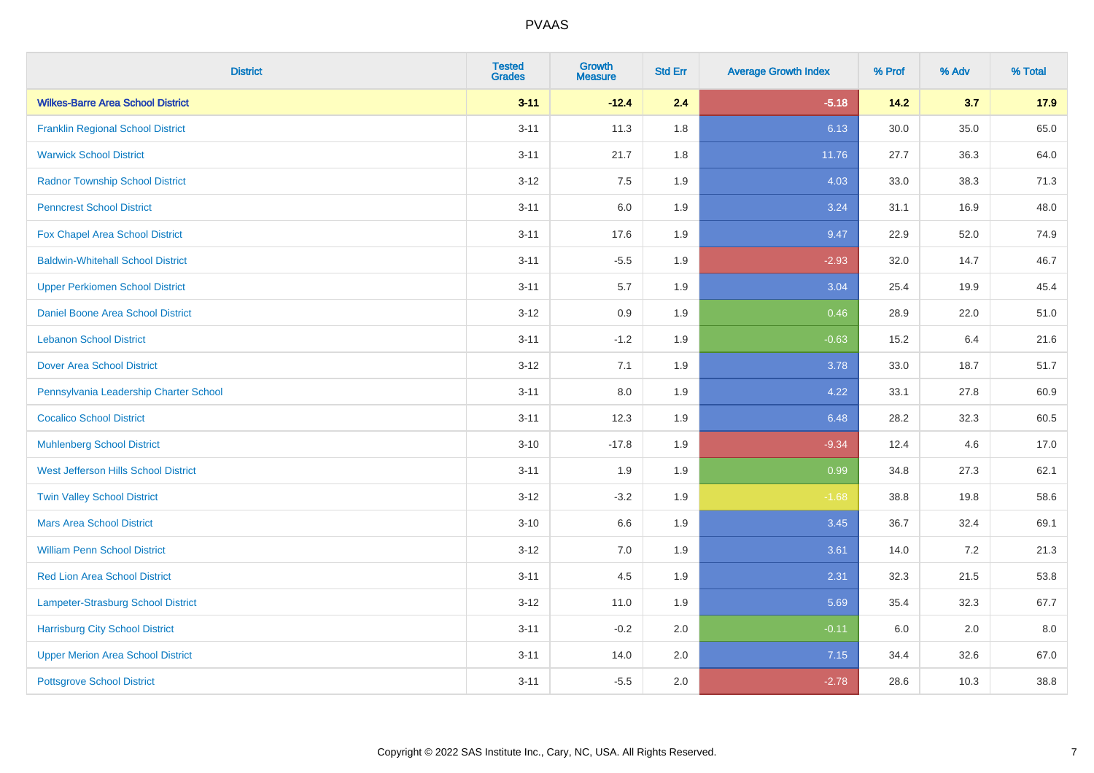| <b>District</b>                           | <b>Tested</b><br><b>Grades</b> | Growth<br><b>Measure</b> | <b>Std Err</b> | <b>Average Growth Index</b> | % Prof | % Adv | % Total |
|-------------------------------------------|--------------------------------|--------------------------|----------------|-----------------------------|--------|-------|---------|
| <b>Wilkes-Barre Area School District</b>  | $3 - 11$                       | $-12.4$                  | 2.4            | $-5.18$                     | 14.2   | 3.7   | 17.9    |
| <b>Franklin Regional School District</b>  | $3 - 11$                       | 11.3                     | 1.8            | 6.13                        | 30.0   | 35.0  | 65.0    |
| <b>Warwick School District</b>            | $3 - 11$                       | 21.7                     | 1.8            | 11.76                       | 27.7   | 36.3  | 64.0    |
| <b>Radnor Township School District</b>    | $3 - 12$                       | 7.5                      | 1.9            | 4.03                        | 33.0   | 38.3  | 71.3    |
| <b>Penncrest School District</b>          | $3 - 11$                       | 6.0                      | 1.9            | 3.24                        | 31.1   | 16.9  | 48.0    |
| Fox Chapel Area School District           | $3 - 11$                       | 17.6                     | 1.9            | 9.47                        | 22.9   | 52.0  | 74.9    |
| <b>Baldwin-Whitehall School District</b>  | $3 - 11$                       | $-5.5$                   | 1.9            | $-2.93$                     | 32.0   | 14.7  | 46.7    |
| <b>Upper Perkiomen School District</b>    | $3 - 11$                       | $5.7\,$                  | 1.9            | 3.04                        | 25.4   | 19.9  | 45.4    |
| Daniel Boone Area School District         | $3 - 12$                       | 0.9                      | 1.9            | 0.46                        | 28.9   | 22.0  | 51.0    |
| <b>Lebanon School District</b>            | $3 - 11$                       | $-1.2$                   | 1.9            | $-0.63$                     | 15.2   | 6.4   | 21.6    |
| <b>Dover Area School District</b>         | $3 - 12$                       | 7.1                      | 1.9            | 3.78                        | 33.0   | 18.7  | 51.7    |
| Pennsylvania Leadership Charter School    | $3 - 11$                       | 8.0                      | 1.9            | 4.22                        | 33.1   | 27.8  | 60.9    |
| <b>Cocalico School District</b>           | $3 - 11$                       | 12.3                     | 1.9            | 6.48                        | 28.2   | 32.3  | 60.5    |
| <b>Muhlenberg School District</b>         | $3 - 10$                       | $-17.8$                  | 1.9            | $-9.34$                     | 12.4   | 4.6   | 17.0    |
| West Jefferson Hills School District      | $3 - 11$                       | 1.9                      | 1.9            | 0.99                        | 34.8   | 27.3  | 62.1    |
| <b>Twin Valley School District</b>        | $3 - 12$                       | $-3.2$                   | 1.9            | $-1.68$                     | 38.8   | 19.8  | 58.6    |
| <b>Mars Area School District</b>          | $3 - 10$                       | 6.6                      | 1.9            | 3.45                        | 36.7   | 32.4  | 69.1    |
| <b>William Penn School District</b>       | $3 - 12$                       | 7.0                      | 1.9            | 3.61                        | 14.0   | 7.2   | 21.3    |
| Red Lion Area School District             | $3 - 11$                       | 4.5                      | 1.9            | 2.31                        | 32.3   | 21.5  | 53.8    |
| <b>Lampeter-Strasburg School District</b> | $3 - 12$                       | 11.0                     | 1.9            | 5.69                        | 35.4   | 32.3  | 67.7    |
| <b>Harrisburg City School District</b>    | $3 - 11$                       | $-0.2$                   | 2.0            | $-0.11$                     | 6.0    | 2.0   | 8.0     |
| <b>Upper Merion Area School District</b>  | $3 - 11$                       | 14.0                     | 2.0            | 7.15                        | 34.4   | 32.6  | 67.0    |
| <b>Pottsgrove School District</b>         | $3 - 11$                       | $-5.5$                   | 2.0            | $-2.78$                     | 28.6   | 10.3  | 38.8    |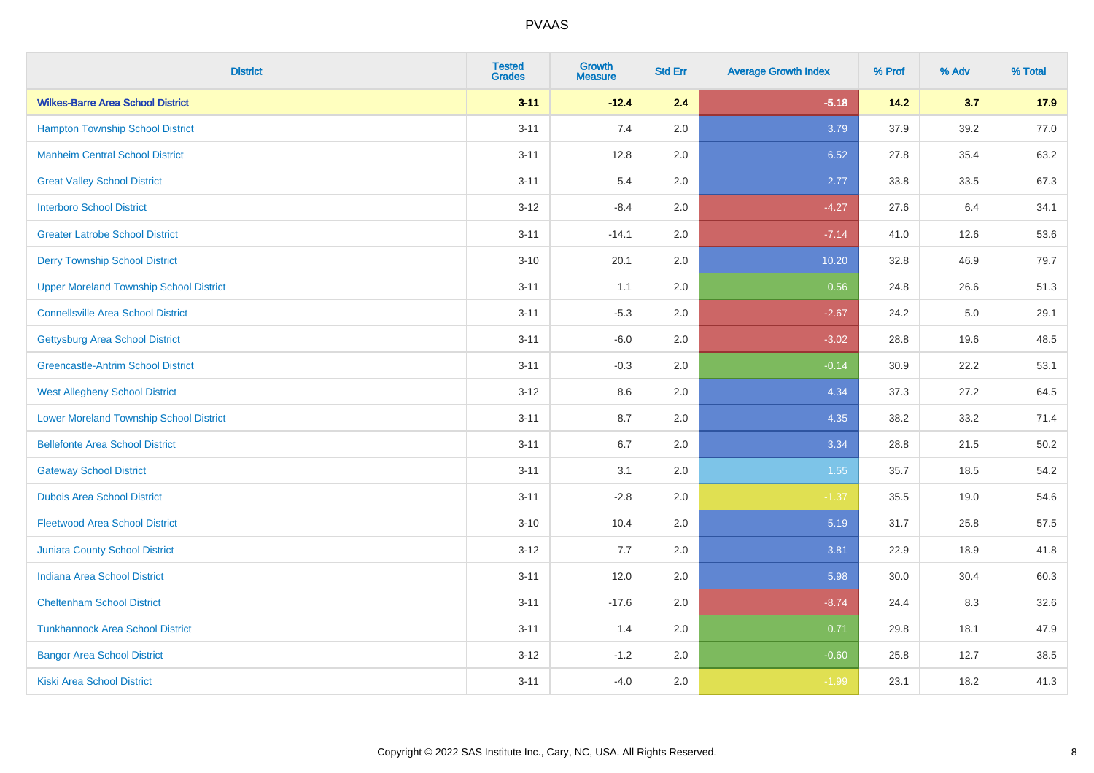| <b>District</b>                                | <b>Tested</b><br><b>Grades</b> | <b>Growth</b><br><b>Measure</b> | <b>Std Err</b> | <b>Average Growth Index</b> | % Prof | % Adv | % Total |
|------------------------------------------------|--------------------------------|---------------------------------|----------------|-----------------------------|--------|-------|---------|
| <b>Wilkes-Barre Area School District</b>       | $3 - 11$                       | $-12.4$                         | 2.4            | $-5.18$                     | 14.2   | 3.7   | 17.9    |
| <b>Hampton Township School District</b>        | $3 - 11$                       | 7.4                             | 2.0            | 3.79                        | 37.9   | 39.2  | 77.0    |
| <b>Manheim Central School District</b>         | $3 - 11$                       | 12.8                            | 2.0            | 6.52                        | 27.8   | 35.4  | 63.2    |
| <b>Great Valley School District</b>            | $3 - 11$                       | 5.4                             | 2.0            | 2.77                        | 33.8   | 33.5  | 67.3    |
| <b>Interboro School District</b>               | $3 - 12$                       | $-8.4$                          | 2.0            | $-4.27$                     | 27.6   | 6.4   | 34.1    |
| <b>Greater Latrobe School District</b>         | $3 - 11$                       | $-14.1$                         | 2.0            | $-7.14$                     | 41.0   | 12.6  | 53.6    |
| <b>Derry Township School District</b>          | $3 - 10$                       | 20.1                            | 2.0            | 10.20                       | 32.8   | 46.9  | 79.7    |
| <b>Upper Moreland Township School District</b> | $3 - 11$                       | 1.1                             | 2.0            | 0.56                        | 24.8   | 26.6  | 51.3    |
| <b>Connellsville Area School District</b>      | $3 - 11$                       | $-5.3$                          | 2.0            | $-2.67$                     | 24.2   | 5.0   | 29.1    |
| <b>Gettysburg Area School District</b>         | $3 - 11$                       | $-6.0$                          | 2.0            | $-3.02$                     | 28.8   | 19.6  | 48.5    |
| <b>Greencastle-Antrim School District</b>      | $3 - 11$                       | $-0.3$                          | 2.0            | $-0.14$                     | 30.9   | 22.2  | 53.1    |
| <b>West Allegheny School District</b>          | $3 - 12$                       | 8.6                             | 2.0            | 4.34                        | 37.3   | 27.2  | 64.5    |
| <b>Lower Moreland Township School District</b> | $3 - 11$                       | 8.7                             | 2.0            | 4.35                        | 38.2   | 33.2  | 71.4    |
| <b>Bellefonte Area School District</b>         | $3 - 11$                       | $6.7\,$                         | 2.0            | 3.34                        | 28.8   | 21.5  | 50.2    |
| <b>Gateway School District</b>                 | $3 - 11$                       | 3.1                             | 2.0            | 1.55                        | 35.7   | 18.5  | 54.2    |
| <b>Dubois Area School District</b>             | $3 - 11$                       | $-2.8$                          | 2.0            | $-1.37$                     | 35.5   | 19.0  | 54.6    |
| <b>Fleetwood Area School District</b>          | $3 - 10$                       | 10.4                            | 2.0            | 5.19                        | 31.7   | 25.8  | 57.5    |
| Juniata County School District                 | $3 - 12$                       | 7.7                             | 2.0            | 3.81                        | 22.9   | 18.9  | 41.8    |
| <b>Indiana Area School District</b>            | $3 - 11$                       | 12.0                            | 2.0            | 5.98                        | 30.0   | 30.4  | 60.3    |
| <b>Cheltenham School District</b>              | $3 - 11$                       | $-17.6$                         | 2.0            | $-8.74$                     | 24.4   | 8.3   | 32.6    |
| <b>Tunkhannock Area School District</b>        | $3 - 11$                       | 1.4                             | 2.0            | 0.71                        | 29.8   | 18.1  | 47.9    |
| <b>Bangor Area School District</b>             | $3 - 12$                       | $-1.2$                          | 2.0            | $-0.60$                     | 25.8   | 12.7  | 38.5    |
| <b>Kiski Area School District</b>              | $3 - 11$                       | $-4.0$                          | 2.0            | $-1.99$                     | 23.1   | 18.2  | 41.3    |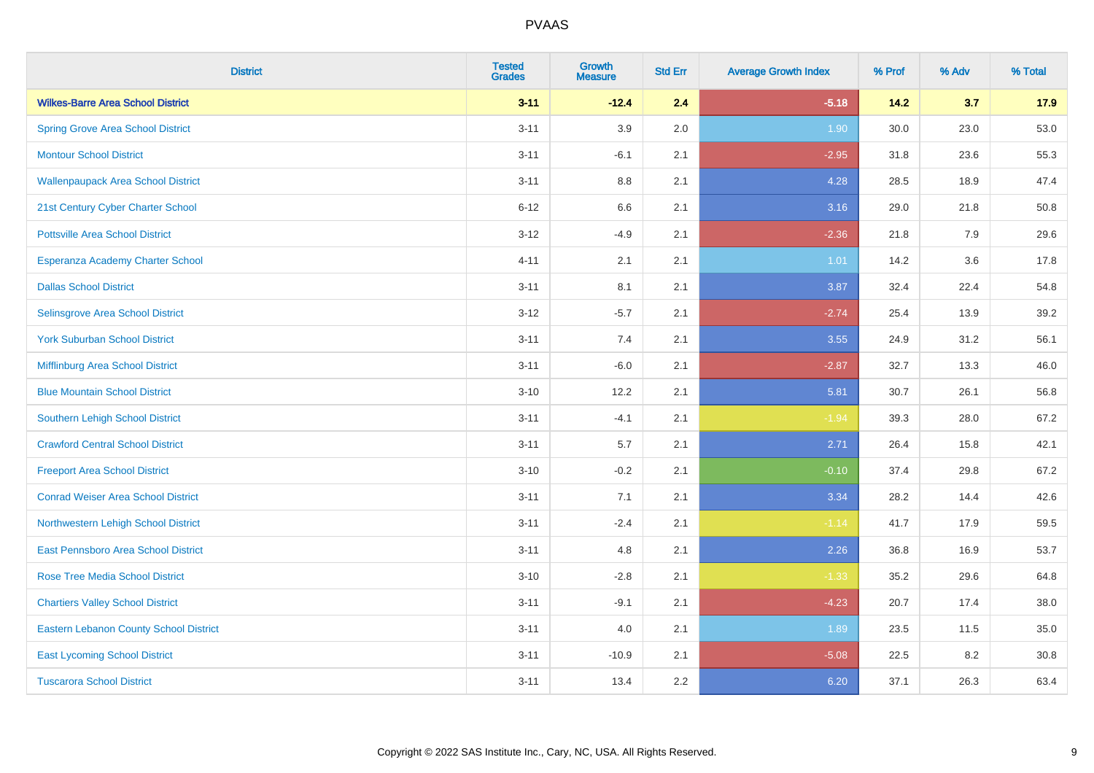| <b>District</b>                               | <b>Tested</b><br><b>Grades</b> | <b>Growth</b><br><b>Measure</b> | <b>Std Err</b> | <b>Average Growth Index</b> | % Prof | % Adv | % Total |
|-----------------------------------------------|--------------------------------|---------------------------------|----------------|-----------------------------|--------|-------|---------|
| <b>Wilkes-Barre Area School District</b>      | $3 - 11$                       | $-12.4$                         | 2.4            | $-5.18$                     | 14.2   | 3.7   | 17.9    |
| <b>Spring Grove Area School District</b>      | $3 - 11$                       | 3.9                             | 2.0            | 1.90                        | 30.0   | 23.0  | 53.0    |
| <b>Montour School District</b>                | $3 - 11$                       | $-6.1$                          | 2.1            | $-2.95$                     | 31.8   | 23.6  | 55.3    |
| <b>Wallenpaupack Area School District</b>     | $3 - 11$                       | $8.8\,$                         | 2.1            | 4.28                        | 28.5   | 18.9  | 47.4    |
| 21st Century Cyber Charter School             | $6 - 12$                       | 6.6                             | 2.1            | 3.16                        | 29.0   | 21.8  | 50.8    |
| <b>Pottsville Area School District</b>        | $3 - 12$                       | $-4.9$                          | 2.1            | $-2.36$                     | 21.8   | 7.9   | 29.6    |
| Esperanza Academy Charter School              | $4 - 11$                       | 2.1                             | 2.1            | 1.01                        | 14.2   | 3.6   | 17.8    |
| <b>Dallas School District</b>                 | $3 - 11$                       | 8.1                             | 2.1            | 3.87                        | 32.4   | 22.4  | 54.8    |
| Selinsgrove Area School District              | $3 - 12$                       | $-5.7$                          | 2.1            | $-2.74$                     | 25.4   | 13.9  | 39.2    |
| <b>York Suburban School District</b>          | $3 - 11$                       | 7.4                             | 2.1            | 3.55                        | 24.9   | 31.2  | 56.1    |
| Mifflinburg Area School District              | $3 - 11$                       | $-6.0$                          | 2.1            | $-2.87$                     | 32.7   | 13.3  | 46.0    |
| <b>Blue Mountain School District</b>          | $3 - 10$                       | 12.2                            | 2.1            | 5.81                        | 30.7   | 26.1  | 56.8    |
| Southern Lehigh School District               | $3 - 11$                       | $-4.1$                          | 2.1            | $-1.94$                     | 39.3   | 28.0  | 67.2    |
| <b>Crawford Central School District</b>       | $3 - 11$                       | 5.7                             | 2.1            | 2.71                        | 26.4   | 15.8  | 42.1    |
| <b>Freeport Area School District</b>          | $3 - 10$                       | $-0.2$                          | 2.1            | $-0.10$                     | 37.4   | 29.8  | 67.2    |
| <b>Conrad Weiser Area School District</b>     | $3 - 11$                       | 7.1                             | 2.1            | 3.34                        | 28.2   | 14.4  | 42.6    |
| Northwestern Lehigh School District           | $3 - 11$                       | $-2.4$                          | 2.1            | $-1.14$                     | 41.7   | 17.9  | 59.5    |
| East Pennsboro Area School District           | $3 - 11$                       | 4.8                             | 2.1            | 2.26                        | 36.8   | 16.9  | 53.7    |
| <b>Rose Tree Media School District</b>        | $3 - 10$                       | $-2.8$                          | 2.1            | $-1.33$                     | 35.2   | 29.6  | 64.8    |
| <b>Chartiers Valley School District</b>       | $3 - 11$                       | $-9.1$                          | 2.1            | $-4.23$                     | 20.7   | 17.4  | 38.0    |
| <b>Eastern Lebanon County School District</b> | $3 - 11$                       | 4.0                             | 2.1            | 1.89                        | 23.5   | 11.5  | 35.0    |
| <b>East Lycoming School District</b>          | $3 - 11$                       | $-10.9$                         | 2.1            | $-5.08$                     | 22.5   | 8.2   | 30.8    |
| <b>Tuscarora School District</b>              | $3 - 11$                       | 13.4                            | 2.2            | 6.20                        | 37.1   | 26.3  | 63.4    |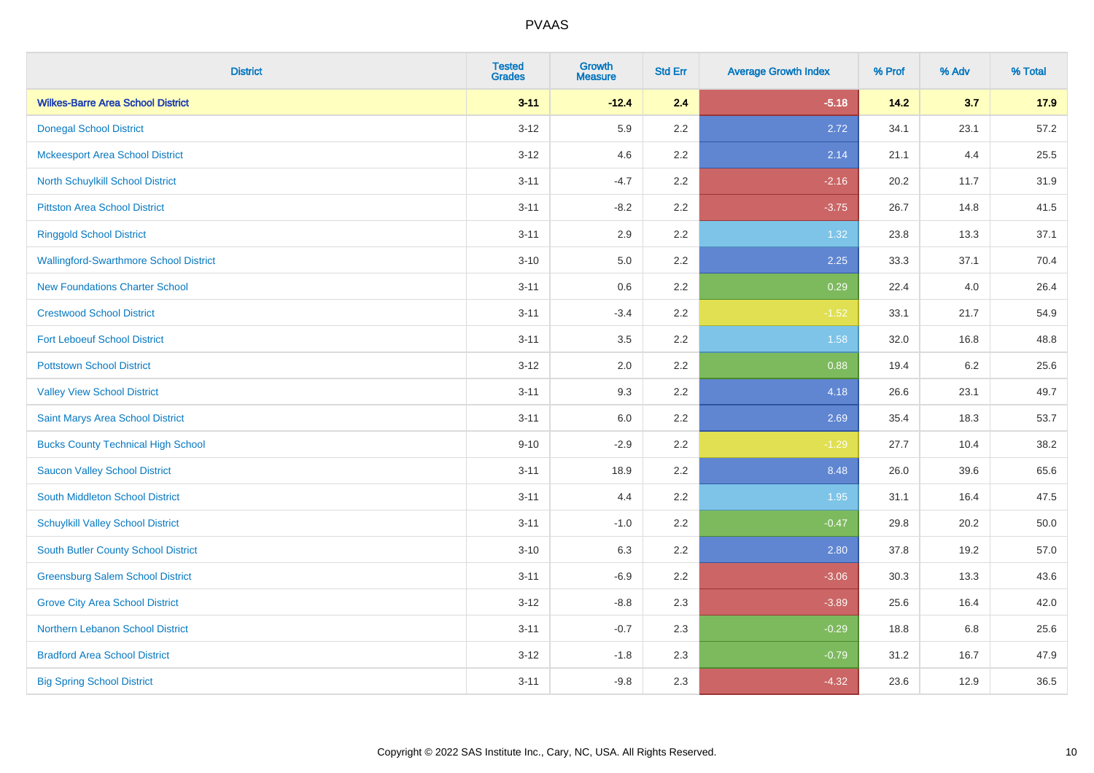| <b>District</b>                               | <b>Tested</b><br><b>Grades</b> | <b>Growth</b><br><b>Measure</b> | <b>Std Err</b> | <b>Average Growth Index</b> | % Prof | % Adv | % Total |
|-----------------------------------------------|--------------------------------|---------------------------------|----------------|-----------------------------|--------|-------|---------|
| <b>Wilkes-Barre Area School District</b>      | $3 - 11$                       | $-12.4$                         | 2.4            | $-5.18$                     | $14.2$ | 3.7   | 17.9    |
| <b>Donegal School District</b>                | $3 - 12$                       | 5.9                             | 2.2            | 2.72                        | 34.1   | 23.1  | 57.2    |
| <b>Mckeesport Area School District</b>        | $3 - 12$                       | 4.6                             | 2.2            | 2.14                        | 21.1   | 4.4   | 25.5    |
| North Schuylkill School District              | $3 - 11$                       | $-4.7$                          | 2.2            | $-2.16$                     | 20.2   | 11.7  | 31.9    |
| <b>Pittston Area School District</b>          | $3 - 11$                       | $-8.2$                          | 2.2            | $-3.75$                     | 26.7   | 14.8  | 41.5    |
| <b>Ringgold School District</b>               | $3 - 11$                       | 2.9                             | 2.2            | 1.32                        | 23.8   | 13.3  | 37.1    |
| <b>Wallingford-Swarthmore School District</b> | $3 - 10$                       | 5.0                             | 2.2            | 2.25                        | 33.3   | 37.1  | 70.4    |
| <b>New Foundations Charter School</b>         | $3 - 11$                       | 0.6                             | 2.2            | 0.29                        | 22.4   | 4.0   | 26.4    |
| <b>Crestwood School District</b>              | $3 - 11$                       | $-3.4$                          | 2.2            | $-1.52$                     | 33.1   | 21.7  | 54.9    |
| <b>Fort Leboeuf School District</b>           | $3 - 11$                       | 3.5                             | 2.2            | 1.58                        | 32.0   | 16.8  | 48.8    |
| <b>Pottstown School District</b>              | $3 - 12$                       | 2.0                             | 2.2            | 0.88                        | 19.4   | 6.2   | 25.6    |
| <b>Valley View School District</b>            | $3 - 11$                       | 9.3                             | 2.2            | 4.18                        | 26.6   | 23.1  | 49.7    |
| Saint Marys Area School District              | $3 - 11$                       | $6.0\,$                         | 2.2            | 2.69                        | 35.4   | 18.3  | 53.7    |
| <b>Bucks County Technical High School</b>     | $9 - 10$                       | $-2.9$                          | 2.2            | $-1.29$                     | 27.7   | 10.4  | 38.2    |
| <b>Saucon Valley School District</b>          | $3 - 11$                       | 18.9                            | 2.2            | 8.48                        | 26.0   | 39.6  | 65.6    |
| South Middleton School District               | $3 - 11$                       | 4.4                             | 2.2            | 1.95                        | 31.1   | 16.4  | 47.5    |
| <b>Schuylkill Valley School District</b>      | $3 - 11$                       | $-1.0$                          | 2.2            | $-0.47$                     | 29.8   | 20.2  | 50.0    |
| South Butler County School District           | $3 - 10$                       | 6.3                             | 2.2            | 2.80                        | 37.8   | 19.2  | 57.0    |
| <b>Greensburg Salem School District</b>       | $3 - 11$                       | $-6.9$                          | 2.2            | $-3.06$                     | 30.3   | 13.3  | 43.6    |
| <b>Grove City Area School District</b>        | $3 - 12$                       | $-8.8$                          | 2.3            | $-3.89$                     | 25.6   | 16.4  | 42.0    |
| Northern Lebanon School District              | $3 - 11$                       | $-0.7$                          | 2.3            | $-0.29$                     | 18.8   | 6.8   | 25.6    |
| <b>Bradford Area School District</b>          | $3 - 12$                       | $-1.8$                          | 2.3            | $-0.79$                     | 31.2   | 16.7  | 47.9    |
| <b>Big Spring School District</b>             | $3 - 11$                       | $-9.8$                          | 2.3            | $-4.32$                     | 23.6   | 12.9  | 36.5    |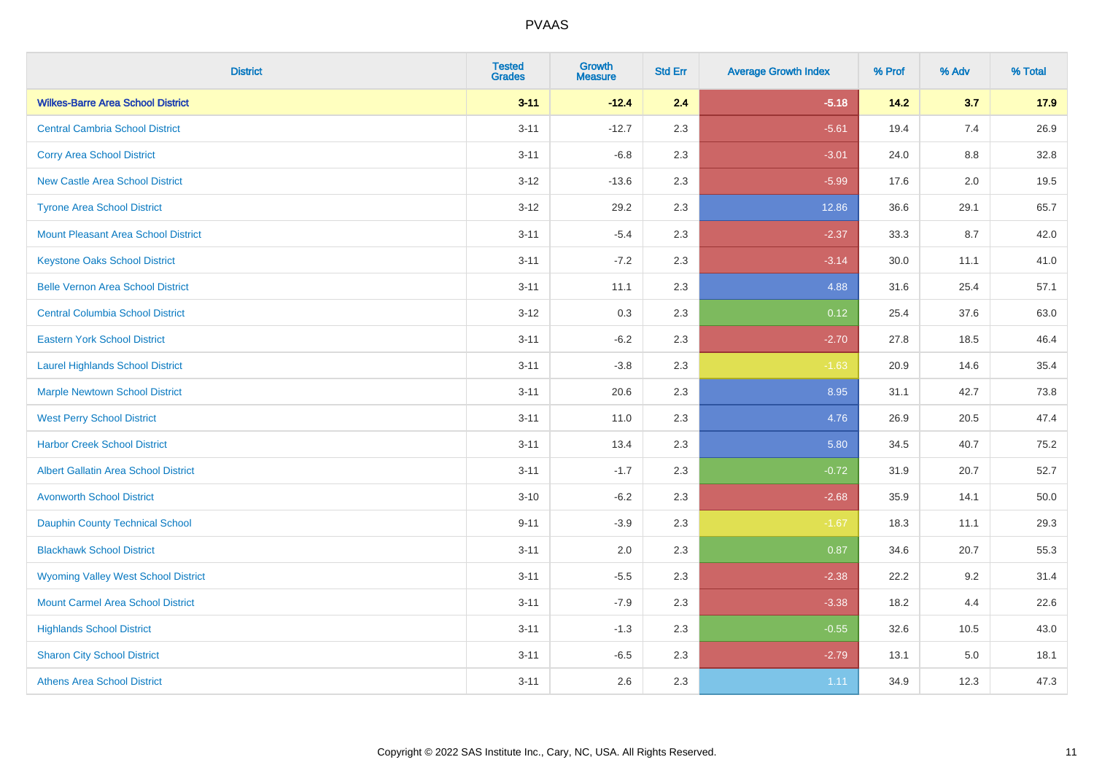| <b>District</b>                             | <b>Tested</b><br><b>Grades</b> | <b>Growth</b><br><b>Measure</b> | <b>Std Err</b> | <b>Average Growth Index</b> | % Prof | % Adv   | % Total |
|---------------------------------------------|--------------------------------|---------------------------------|----------------|-----------------------------|--------|---------|---------|
| <b>Wilkes-Barre Area School District</b>    | $3 - 11$                       | $-12.4$                         | 2.4            | $-5.18$                     | 14.2   | 3.7     | 17.9    |
| <b>Central Cambria School District</b>      | $3 - 11$                       | $-12.7$                         | 2.3            | $-5.61$                     | 19.4   | 7.4     | 26.9    |
| <b>Corry Area School District</b>           | $3 - 11$                       | $-6.8$                          | 2.3            | $-3.01$                     | 24.0   | $8.8\,$ | 32.8    |
| <b>New Castle Area School District</b>      | $3 - 12$                       | $-13.6$                         | 2.3            | $-5.99$                     | 17.6   | 2.0     | 19.5    |
| <b>Tyrone Area School District</b>          | $3 - 12$                       | 29.2                            | 2.3            | 12.86                       | 36.6   | 29.1    | 65.7    |
| <b>Mount Pleasant Area School District</b>  | $3 - 11$                       | $-5.4$                          | 2.3            | $-2.37$                     | 33.3   | 8.7     | 42.0    |
| <b>Keystone Oaks School District</b>        | $3 - 11$                       | $-7.2$                          | 2.3            | $-3.14$                     | 30.0   | 11.1    | 41.0    |
| <b>Belle Vernon Area School District</b>    | $3 - 11$                       | 11.1                            | 2.3            | 4.88                        | 31.6   | 25.4    | 57.1    |
| <b>Central Columbia School District</b>     | $3 - 12$                       | 0.3                             | 2.3            | 0.12                        | 25.4   | 37.6    | 63.0    |
| <b>Eastern York School District</b>         | $3 - 11$                       | $-6.2$                          | 2.3            | $-2.70$                     | 27.8   | 18.5    | 46.4    |
| <b>Laurel Highlands School District</b>     | $3 - 11$                       | $-3.8$                          | 2.3            | $-1.63$                     | 20.9   | 14.6    | 35.4    |
| <b>Marple Newtown School District</b>       | $3 - 11$                       | 20.6                            | 2.3            | 8.95                        | 31.1   | 42.7    | 73.8    |
| <b>West Perry School District</b>           | $3 - 11$                       | 11.0                            | 2.3            | 4.76                        | 26.9   | 20.5    | 47.4    |
| <b>Harbor Creek School District</b>         | $3 - 11$                       | 13.4                            | 2.3            | 5.80                        | 34.5   | 40.7    | 75.2    |
| <b>Albert Gallatin Area School District</b> | $3 - 11$                       | $-1.7$                          | 2.3            | $-0.72$                     | 31.9   | 20.7    | 52.7    |
| <b>Avonworth School District</b>            | $3 - 10$                       | $-6.2$                          | 2.3            | $-2.68$                     | 35.9   | 14.1    | 50.0    |
| <b>Dauphin County Technical School</b>      | $9 - 11$                       | $-3.9$                          | 2.3            | $-1.67$                     | 18.3   | 11.1    | 29.3    |
| <b>Blackhawk School District</b>            | $3 - 11$                       | 2.0                             | 2.3            | 0.87                        | 34.6   | 20.7    | 55.3    |
| <b>Wyoming Valley West School District</b>  | $3 - 11$                       | $-5.5$                          | 2.3            | $-2.38$                     | 22.2   | 9.2     | 31.4    |
| <b>Mount Carmel Area School District</b>    | $3 - 11$                       | $-7.9$                          | 2.3            | $-3.38$                     | 18.2   | 4.4     | 22.6    |
| <b>Highlands School District</b>            | $3 - 11$                       | $-1.3$                          | 2.3            | $-0.55$                     | 32.6   | 10.5    | 43.0    |
| <b>Sharon City School District</b>          | $3 - 11$                       | $-6.5$                          | 2.3            | $-2.79$                     | 13.1   | 5.0     | 18.1    |
| <b>Athens Area School District</b>          | $3 - 11$                       | 2.6                             | 2.3            | 1.11                        | 34.9   | 12.3    | 47.3    |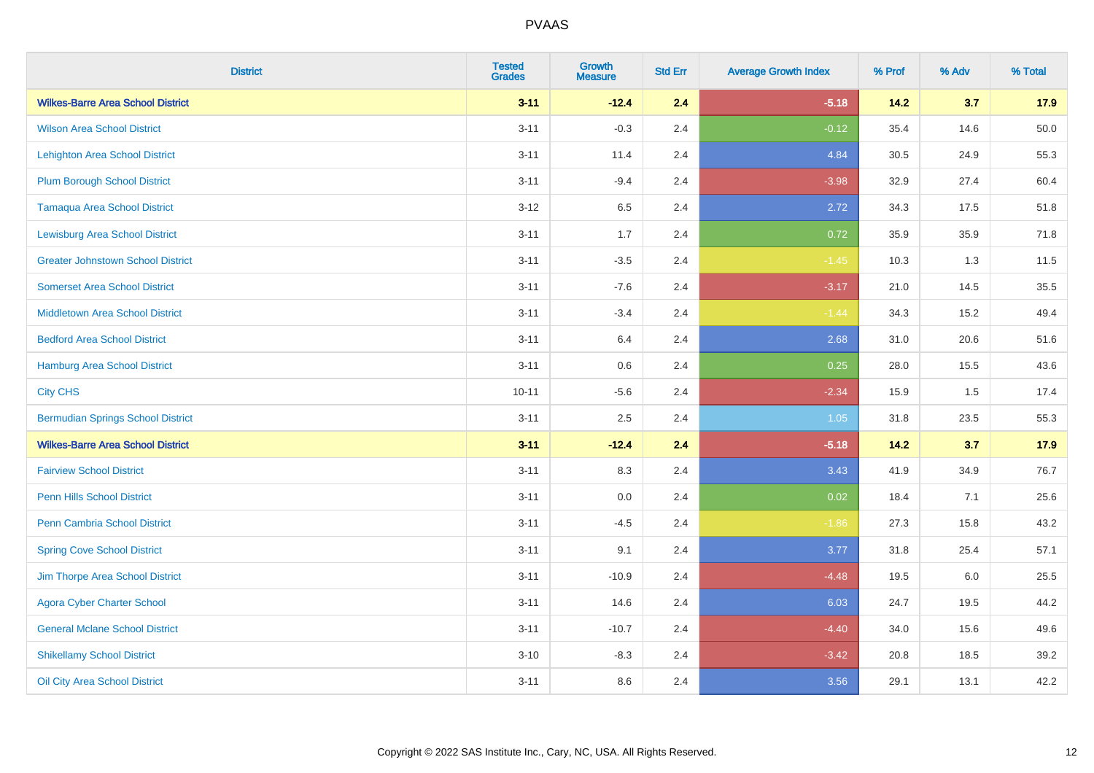| <b>District</b>                          | <b>Tested</b><br><b>Grades</b> | <b>Growth</b><br><b>Measure</b> | <b>Std Err</b> | <b>Average Growth Index</b> | % Prof | % Adv | % Total |
|------------------------------------------|--------------------------------|---------------------------------|----------------|-----------------------------|--------|-------|---------|
| <b>Wilkes-Barre Area School District</b> | $3 - 11$                       | $-12.4$                         | 2.4            | $-5.18$                     | 14.2   | 3.7   | 17.9    |
| <b>Wilson Area School District</b>       | $3 - 11$                       | $-0.3$                          | 2.4            | $-0.12$                     | 35.4   | 14.6  | 50.0    |
| <b>Lehighton Area School District</b>    | $3 - 11$                       | 11.4                            | 2.4            | 4.84                        | 30.5   | 24.9  | 55.3    |
| <b>Plum Borough School District</b>      | $3 - 11$                       | $-9.4$                          | 2.4            | $-3.98$                     | 32.9   | 27.4  | 60.4    |
| <b>Tamaqua Area School District</b>      | $3 - 12$                       | 6.5                             | 2.4            | 2.72                        | 34.3   | 17.5  | 51.8    |
| <b>Lewisburg Area School District</b>    | $3 - 11$                       | 1.7                             | 2.4            | 0.72                        | 35.9   | 35.9  | 71.8    |
| <b>Greater Johnstown School District</b> | $3 - 11$                       | $-3.5$                          | 2.4            | $-1.45$                     | 10.3   | 1.3   | 11.5    |
| <b>Somerset Area School District</b>     | $3 - 11$                       | $-7.6$                          | 2.4            | $-3.17$                     | 21.0   | 14.5  | 35.5    |
| <b>Middletown Area School District</b>   | $3 - 11$                       | $-3.4$                          | 2.4            | $-1.44$                     | 34.3   | 15.2  | 49.4    |
| <b>Bedford Area School District</b>      | $3 - 11$                       | 6.4                             | 2.4            | 2.68                        | 31.0   | 20.6  | 51.6    |
| Hamburg Area School District             | $3 - 11$                       | 0.6                             | 2.4            | 0.25                        | 28.0   | 15.5  | 43.6    |
| <b>City CHS</b>                          | $10 - 11$                      | $-5.6$                          | 2.4            | $-2.34$                     | 15.9   | 1.5   | 17.4    |
| <b>Bermudian Springs School District</b> | $3 - 11$                       | 2.5                             | 2.4            | 1.05                        | 31.8   | 23.5  | 55.3    |
| <b>Wilkes-Barre Area School District</b> | $3 - 11$                       | $-12.4$                         | 2.4            | $-5.18$                     | 14.2   | 3.7   | 17.9    |
| <b>Fairview School District</b>          | $3 - 11$                       | 8.3                             | 2.4            | 3.43                        | 41.9   | 34.9  | 76.7    |
| <b>Penn Hills School District</b>        | $3 - 11$                       | 0.0                             | 2.4            | 0.02                        | 18.4   | 7.1   | 25.6    |
| Penn Cambria School District             | $3 - 11$                       | $-4.5$                          | 2.4            | $-1.86$                     | 27.3   | 15.8  | 43.2    |
| <b>Spring Cove School District</b>       | $3 - 11$                       | 9.1                             | 2.4            | 3.77                        | 31.8   | 25.4  | 57.1    |
| Jim Thorpe Area School District          | $3 - 11$                       | $-10.9$                         | 2.4            | $-4.48$                     | 19.5   | 6.0   | 25.5    |
| <b>Agora Cyber Charter School</b>        | $3 - 11$                       | 14.6                            | 2.4            | 6.03                        | 24.7   | 19.5  | 44.2    |
| <b>General Mclane School District</b>    | $3 - 11$                       | $-10.7$                         | 2.4            | $-4.40$                     | 34.0   | 15.6  | 49.6    |
| <b>Shikellamy School District</b>        | $3 - 10$                       | $-8.3$                          | 2.4            | $-3.42$                     | 20.8   | 18.5  | 39.2    |
| Oil City Area School District            | $3 - 11$                       | 8.6                             | 2.4            | 3.56                        | 29.1   | 13.1  | 42.2    |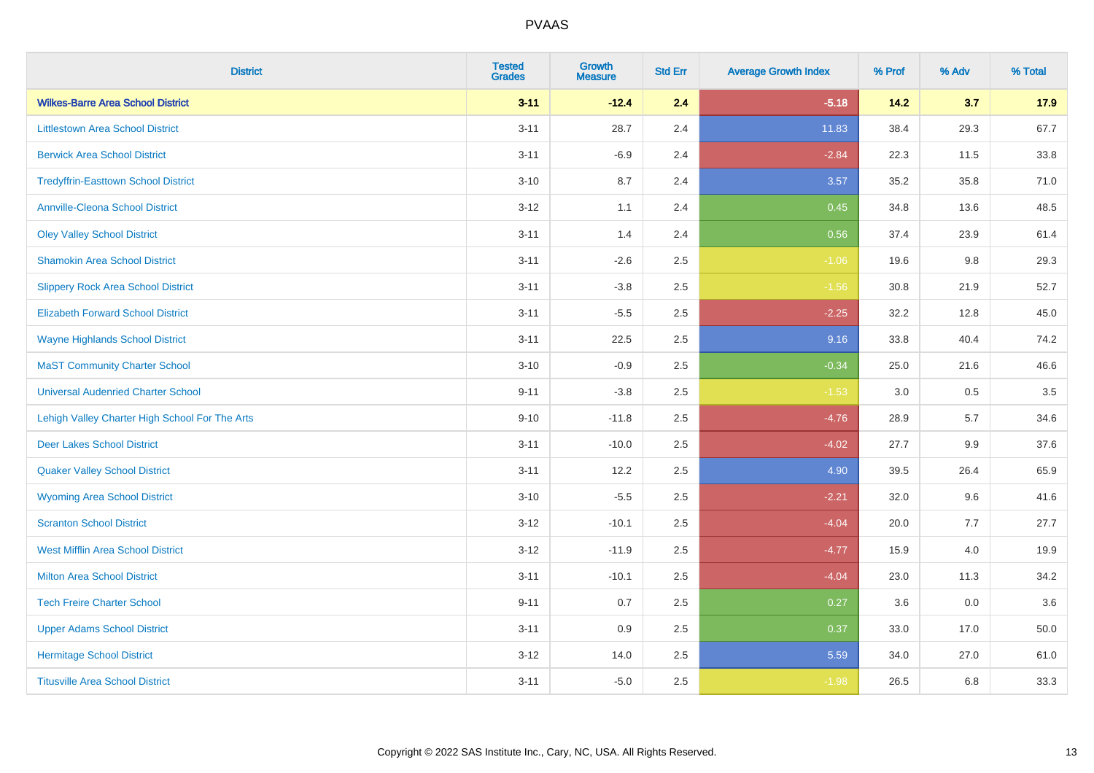| <b>District</b>                                | <b>Tested</b><br><b>Grades</b> | <b>Growth</b><br><b>Measure</b> | <b>Std Err</b> | <b>Average Growth Index</b> | % Prof | % Adv | % Total |
|------------------------------------------------|--------------------------------|---------------------------------|----------------|-----------------------------|--------|-------|---------|
| <b>Wilkes-Barre Area School District</b>       | $3 - 11$                       | $-12.4$                         | 2.4            | $-5.18$                     | 14.2   | 3.7   | 17.9    |
| <b>Littlestown Area School District</b>        | $3 - 11$                       | 28.7                            | 2.4            | 11.83                       | 38.4   | 29.3  | 67.7    |
| <b>Berwick Area School District</b>            | $3 - 11$                       | $-6.9$                          | 2.4            | $-2.84$                     | 22.3   | 11.5  | 33.8    |
| <b>Tredyffrin-Easttown School District</b>     | $3 - 10$                       | 8.7                             | 2.4            | 3.57                        | 35.2   | 35.8  | 71.0    |
| <b>Annville-Cleona School District</b>         | $3 - 12$                       | 1.1                             | 2.4            | 0.45                        | 34.8   | 13.6  | 48.5    |
| <b>Oley Valley School District</b>             | $3 - 11$                       | 1.4                             | 2.4            | 0.56                        | 37.4   | 23.9  | 61.4    |
| <b>Shamokin Area School District</b>           | $3 - 11$                       | $-2.6$                          | 2.5            | $-1.06$                     | 19.6   | 9.8   | 29.3    |
| <b>Slippery Rock Area School District</b>      | $3 - 11$                       | $-3.8$                          | 2.5            | $-1.56$                     | 30.8   | 21.9  | 52.7    |
| <b>Elizabeth Forward School District</b>       | $3 - 11$                       | $-5.5$                          | 2.5            | $-2.25$                     | 32.2   | 12.8  | 45.0    |
| <b>Wayne Highlands School District</b>         | $3 - 11$                       | 22.5                            | 2.5            | 9.16                        | 33.8   | 40.4  | 74.2    |
| <b>MaST Community Charter School</b>           | $3 - 10$                       | $-0.9$                          | 2.5            | $-0.34$                     | 25.0   | 21.6  | 46.6    |
| <b>Universal Audenried Charter School</b>      | $9 - 11$                       | $-3.8$                          | 2.5            | $-1.53$                     | 3.0    | 0.5   | 3.5     |
| Lehigh Valley Charter High School For The Arts | $9 - 10$                       | $-11.8$                         | 2.5            | $-4.76$                     | 28.9   | 5.7   | 34.6    |
| <b>Deer Lakes School District</b>              | $3 - 11$                       | $-10.0$                         | 2.5            | $-4.02$                     | 27.7   | 9.9   | 37.6    |
| <b>Quaker Valley School District</b>           | $3 - 11$                       | 12.2                            | 2.5            | 4.90                        | 39.5   | 26.4  | 65.9    |
| <b>Wyoming Area School District</b>            | $3 - 10$                       | $-5.5$                          | 2.5            | $-2.21$                     | 32.0   | 9.6   | 41.6    |
| <b>Scranton School District</b>                | $3 - 12$                       | $-10.1$                         | 2.5            | $-4.04$                     | 20.0   | 7.7   | 27.7    |
| <b>West Mifflin Area School District</b>       | $3 - 12$                       | $-11.9$                         | 2.5            | $-4.77$                     | 15.9   | 4.0   | 19.9    |
| <b>Milton Area School District</b>             | $3 - 11$                       | $-10.1$                         | 2.5            | $-4.04$                     | 23.0   | 11.3  | 34.2    |
| <b>Tech Freire Charter School</b>              | $9 - 11$                       | 0.7                             | 2.5            | 0.27                        | 3.6    | 0.0   | 3.6     |
| <b>Upper Adams School District</b>             | $3 - 11$                       | 0.9                             | 2.5            | 0.37                        | 33.0   | 17.0  | 50.0    |
| <b>Hermitage School District</b>               | $3 - 12$                       | 14.0                            | 2.5            | 5.59                        | 34.0   | 27.0  | 61.0    |
| <b>Titusville Area School District</b>         | $3 - 11$                       | $-5.0$                          | 2.5            | $-1.98$                     | 26.5   | 6.8   | 33.3    |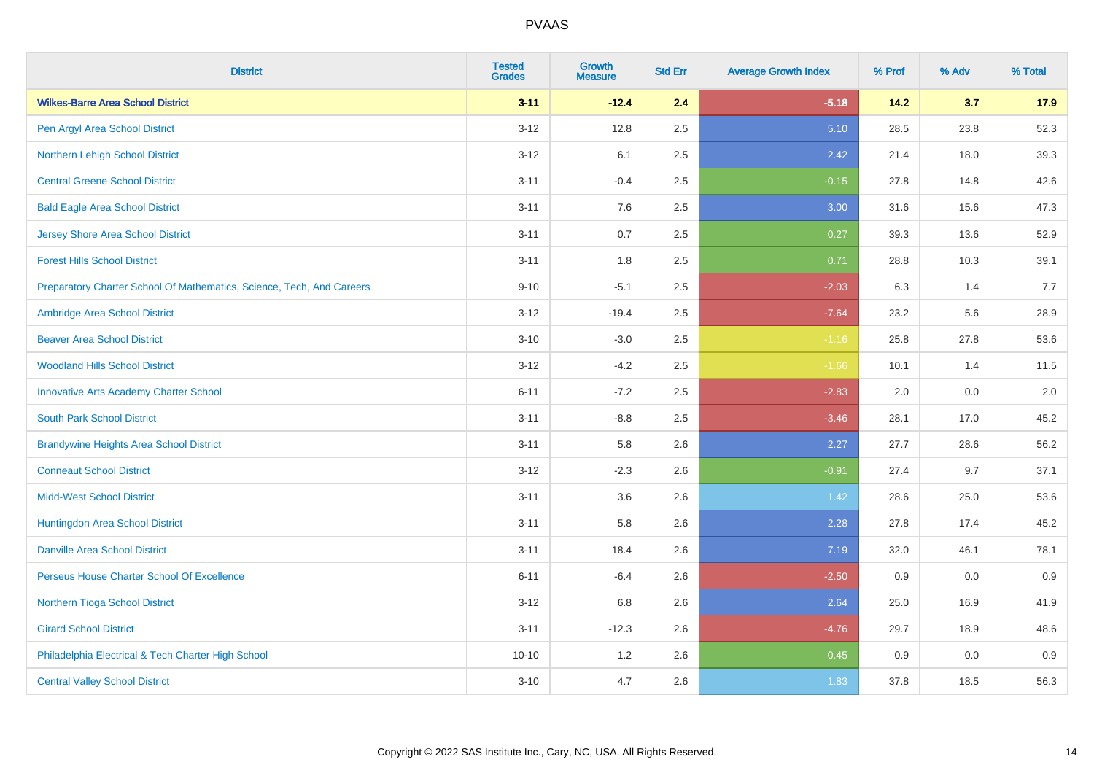| <b>District</b>                                                       | <b>Tested</b><br><b>Grades</b> | <b>Growth</b><br><b>Measure</b> | <b>Std Err</b> | <b>Average Growth Index</b> | % Prof | % Adv | % Total |
|-----------------------------------------------------------------------|--------------------------------|---------------------------------|----------------|-----------------------------|--------|-------|---------|
| <b>Wilkes-Barre Area School District</b>                              | $3 - 11$                       | $-12.4$                         | 2.4            | $-5.18$                     | $14.2$ | 3.7   | 17.9    |
| Pen Argyl Area School District                                        | $3 - 12$                       | 12.8                            | 2.5            | 5.10                        | 28.5   | 23.8  | 52.3    |
| Northern Lehigh School District                                       | $3 - 12$                       | 6.1                             | 2.5            | 2.42                        | 21.4   | 18.0  | 39.3    |
| <b>Central Greene School District</b>                                 | $3 - 11$                       | $-0.4$                          | 2.5            | $-0.15$                     | 27.8   | 14.8  | 42.6    |
| <b>Bald Eagle Area School District</b>                                | $3 - 11$                       | 7.6                             | 2.5            | 3.00                        | 31.6   | 15.6  | 47.3    |
| <b>Jersey Shore Area School District</b>                              | $3 - 11$                       | 0.7                             | 2.5            | 0.27                        | 39.3   | 13.6  | 52.9    |
| <b>Forest Hills School District</b>                                   | $3 - 11$                       | 1.8                             | 2.5            | 0.71                        | 28.8   | 10.3  | 39.1    |
| Preparatory Charter School Of Mathematics, Science, Tech, And Careers | $9 - 10$                       | $-5.1$                          | 2.5            | $-2.03$                     | 6.3    | 1.4   | 7.7     |
| Ambridge Area School District                                         | $3 - 12$                       | $-19.4$                         | 2.5            | $-7.64$                     | 23.2   | 5.6   | 28.9    |
| <b>Beaver Area School District</b>                                    | $3 - 10$                       | $-3.0$                          | 2.5            | $-1.16$                     | 25.8   | 27.8  | 53.6    |
| <b>Woodland Hills School District</b>                                 | $3 - 12$                       | $-4.2$                          | 2.5            | $-1.66$                     | 10.1   | 1.4   | 11.5    |
| <b>Innovative Arts Academy Charter School</b>                         | $6 - 11$                       | $-7.2$                          | 2.5            | $-2.83$                     | 2.0    | 0.0   | 2.0     |
| <b>South Park School District</b>                                     | $3 - 11$                       | $-8.8$                          | 2.5            | $-3.46$                     | 28.1   | 17.0  | 45.2    |
| <b>Brandywine Heights Area School District</b>                        | $3 - 11$                       | 5.8                             | 2.6            | 2.27                        | 27.7   | 28.6  | 56.2    |
| <b>Conneaut School District</b>                                       | $3 - 12$                       | $-2.3$                          | 2.6            | $-0.91$                     | 27.4   | 9.7   | 37.1    |
| <b>Midd-West School District</b>                                      | $3 - 11$                       | 3.6                             | 2.6            | 1.42                        | 28.6   | 25.0  | 53.6    |
| Huntingdon Area School District                                       | $3 - 11$                       | 5.8                             | 2.6            | 2.28                        | 27.8   | 17.4  | 45.2    |
| <b>Danville Area School District</b>                                  | $3 - 11$                       | 18.4                            | 2.6            | 7.19                        | 32.0   | 46.1  | 78.1    |
| Perseus House Charter School Of Excellence                            | $6 - 11$                       | $-6.4$                          | 2.6            | $-2.50$                     | 0.9    | 0.0   | 0.9     |
| Northern Tioga School District                                        | $3 - 12$                       | 6.8                             | 2.6            | 2.64                        | 25.0   | 16.9  | 41.9    |
| <b>Girard School District</b>                                         | $3 - 11$                       | $-12.3$                         | 2.6            | $-4.76$                     | 29.7   | 18.9  | 48.6    |
| Philadelphia Electrical & Tech Charter High School                    | $10 - 10$                      | 1.2                             | 2.6            | 0.45                        | 0.9    | 0.0   | 0.9     |
| <b>Central Valley School District</b>                                 | $3 - 10$                       | 4.7                             | 2.6            | 1.83                        | 37.8   | 18.5  | 56.3    |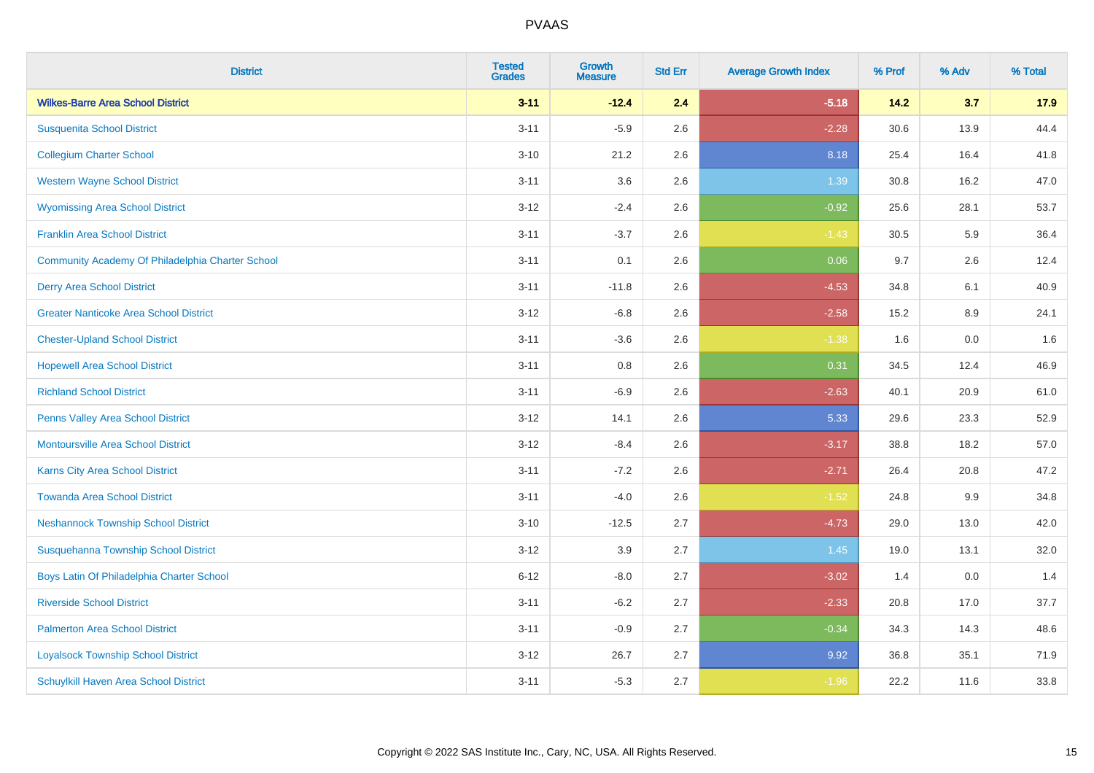| <b>District</b>                                  | <b>Tested</b><br><b>Grades</b> | <b>Growth</b><br><b>Measure</b> | <b>Std Err</b> | <b>Average Growth Index</b> | % Prof | % Adv | % Total |
|--------------------------------------------------|--------------------------------|---------------------------------|----------------|-----------------------------|--------|-------|---------|
| <b>Wilkes-Barre Area School District</b>         | $3 - 11$                       | $-12.4$                         | 2.4            | $-5.18$                     | 14.2   | 3.7   | 17.9    |
| <b>Susquenita School District</b>                | $3 - 11$                       | $-5.9$                          | 2.6            | $-2.28$                     | 30.6   | 13.9  | 44.4    |
| <b>Collegium Charter School</b>                  | $3 - 10$                       | 21.2                            | 2.6            | 8.18                        | 25.4   | 16.4  | 41.8    |
| <b>Western Wayne School District</b>             | $3 - 11$                       | 3.6                             | 2.6            | 1.39                        | 30.8   | 16.2  | 47.0    |
| <b>Wyomissing Area School District</b>           | $3 - 12$                       | $-2.4$                          | 2.6            | $-0.92$                     | 25.6   | 28.1  | 53.7    |
| <b>Franklin Area School District</b>             | $3 - 11$                       | $-3.7$                          | 2.6            | $-1.43$                     | 30.5   | 5.9   | 36.4    |
| Community Academy Of Philadelphia Charter School | $3 - 11$                       | 0.1                             | 2.6            | 0.06                        | 9.7    | 2.6   | 12.4    |
| <b>Derry Area School District</b>                | $3 - 11$                       | $-11.8$                         | 2.6            | $-4.53$                     | 34.8   | 6.1   | 40.9    |
| <b>Greater Nanticoke Area School District</b>    | $3 - 12$                       | $-6.8$                          | 2.6            | $-2.58$                     | 15.2   | 8.9   | 24.1    |
| <b>Chester-Upland School District</b>            | $3 - 11$                       | $-3.6$                          | 2.6            | $-1.38$                     | 1.6    | 0.0   | 1.6     |
| <b>Hopewell Area School District</b>             | $3 - 11$                       | 0.8                             | 2.6            | 0.31                        | 34.5   | 12.4  | 46.9    |
| <b>Richland School District</b>                  | $3 - 11$                       | $-6.9$                          | 2.6            | $-2.63$                     | 40.1   | 20.9  | 61.0    |
| Penns Valley Area School District                | $3 - 12$                       | 14.1                            | 2.6            | 5.33                        | 29.6   | 23.3  | 52.9    |
| <b>Montoursville Area School District</b>        | $3 - 12$                       | $-8.4$                          | 2.6            | $-3.17$                     | 38.8   | 18.2  | 57.0    |
| Karns City Area School District                  | $3 - 11$                       | $-7.2$                          | 2.6            | $-2.71$                     | 26.4   | 20.8  | 47.2    |
| <b>Towanda Area School District</b>              | $3 - 11$                       | $-4.0$                          | 2.6            | $-1.52$                     | 24.8   | 9.9   | 34.8    |
| <b>Neshannock Township School District</b>       | $3 - 10$                       | $-12.5$                         | 2.7            | $-4.73$                     | 29.0   | 13.0  | 42.0    |
| Susquehanna Township School District             | $3 - 12$                       | 3.9                             | 2.7            | 1.45                        | 19.0   | 13.1  | 32.0    |
| Boys Latin Of Philadelphia Charter School        | $6 - 12$                       | $-8.0$                          | 2.7            | $-3.02$                     | 1.4    | 0.0   | 1.4     |
| <b>Riverside School District</b>                 | $3 - 11$                       | $-6.2$                          | 2.7            | $-2.33$                     | 20.8   | 17.0  | 37.7    |
| <b>Palmerton Area School District</b>            | $3 - 11$                       | $-0.9$                          | 2.7            | $-0.34$                     | 34.3   | 14.3  | 48.6    |
| <b>Loyalsock Township School District</b>        | $3 - 12$                       | 26.7                            | 2.7            | 9.92                        | 36.8   | 35.1  | 71.9    |
| Schuylkill Haven Area School District            | $3 - 11$                       | $-5.3$                          | 2.7            | $-1.96$                     | 22.2   | 11.6  | 33.8    |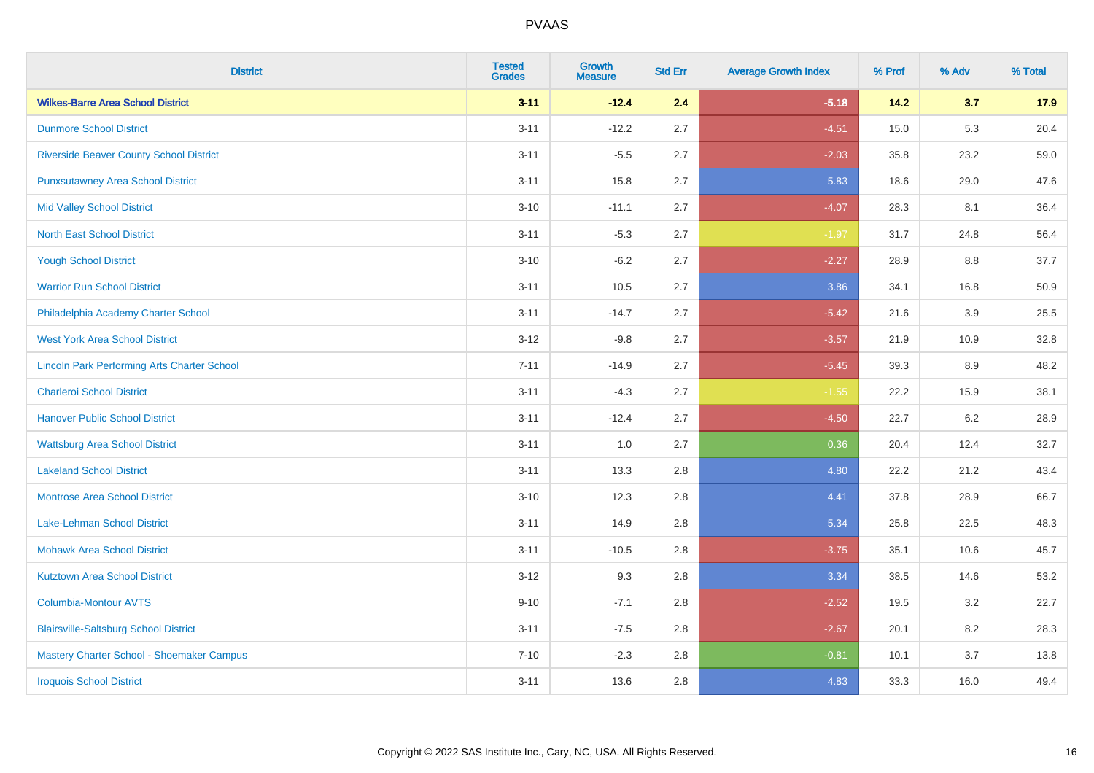| <b>District</b>                                    | <b>Tested</b><br><b>Grades</b> | <b>Growth</b><br><b>Measure</b> | <b>Std Err</b> | <b>Average Growth Index</b> | % Prof | % Adv   | % Total |
|----------------------------------------------------|--------------------------------|---------------------------------|----------------|-----------------------------|--------|---------|---------|
| <b>Wilkes-Barre Area School District</b>           | $3 - 11$                       | $-12.4$                         | 2.4            | $-5.18$                     | $14.2$ | 3.7     | 17.9    |
| <b>Dunmore School District</b>                     | $3 - 11$                       | $-12.2$                         | 2.7            | $-4.51$                     | 15.0   | 5.3     | 20.4    |
| <b>Riverside Beaver County School District</b>     | $3 - 11$                       | $-5.5$                          | 2.7            | $-2.03$                     | 35.8   | 23.2    | 59.0    |
| <b>Punxsutawney Area School District</b>           | $3 - 11$                       | 15.8                            | 2.7            | 5.83                        | 18.6   | 29.0    | 47.6    |
| <b>Mid Valley School District</b>                  | $3 - 10$                       | $-11.1$                         | 2.7            | $-4.07$                     | 28.3   | 8.1     | 36.4    |
| <b>North East School District</b>                  | $3 - 11$                       | $-5.3$                          | 2.7            | $-1.97$                     | 31.7   | 24.8    | 56.4    |
| <b>Yough School District</b>                       | $3 - 10$                       | $-6.2$                          | 2.7            | $-2.27$                     | 28.9   | 8.8     | 37.7    |
| <b>Warrior Run School District</b>                 | $3 - 11$                       | 10.5                            | 2.7            | 3.86                        | 34.1   | 16.8    | 50.9    |
| Philadelphia Academy Charter School                | $3 - 11$                       | $-14.7$                         | 2.7            | $-5.42$                     | 21.6   | 3.9     | 25.5    |
| <b>West York Area School District</b>              | $3-12$                         | $-9.8$                          | 2.7            | $-3.57$                     | 21.9   | 10.9    | 32.8    |
| <b>Lincoln Park Performing Arts Charter School</b> | $7 - 11$                       | $-14.9$                         | 2.7            | $-5.45$                     | 39.3   | 8.9     | 48.2    |
| <b>Charleroi School District</b>                   | $3 - 11$                       | $-4.3$                          | 2.7            | $-1.55$                     | 22.2   | 15.9    | 38.1    |
| <b>Hanover Public School District</b>              | $3 - 11$                       | $-12.4$                         | 2.7            | $-4.50$                     | 22.7   | $6.2\,$ | 28.9    |
| <b>Wattsburg Area School District</b>              | $3 - 11$                       | 1.0                             | 2.7            | 0.36                        | 20.4   | 12.4    | 32.7    |
| <b>Lakeland School District</b>                    | $3 - 11$                       | 13.3                            | 2.8            | 4.80                        | 22.2   | 21.2    | 43.4    |
| <b>Montrose Area School District</b>               | $3 - 10$                       | 12.3                            | 2.8            | 4.41                        | 37.8   | 28.9    | 66.7    |
| Lake-Lehman School District                        | $3 - 11$                       | 14.9                            | 2.8            | 5.34                        | 25.8   | 22.5    | 48.3    |
| <b>Mohawk Area School District</b>                 | $3 - 11$                       | $-10.5$                         | 2.8            | $-3.75$                     | 35.1   | 10.6    | 45.7    |
| <b>Kutztown Area School District</b>               | $3-12$                         | 9.3                             | 2.8            | 3.34                        | 38.5   | 14.6    | 53.2    |
| Columbia-Montour AVTS                              | $9 - 10$                       | $-7.1$                          | 2.8            | $-2.52$                     | 19.5   | 3.2     | 22.7    |
| <b>Blairsville-Saltsburg School District</b>       | $3 - 11$                       | $-7.5$                          | 2.8            | $-2.67$                     | 20.1   | 8.2     | 28.3    |
| Mastery Charter School - Shoemaker Campus          | $7 - 10$                       | $-2.3$                          | 2.8            | $-0.81$                     | 10.1   | 3.7     | 13.8    |
| <b>Iroquois School District</b>                    | $3 - 11$                       | 13.6                            | 2.8            | 4.83                        | 33.3   | 16.0    | 49.4    |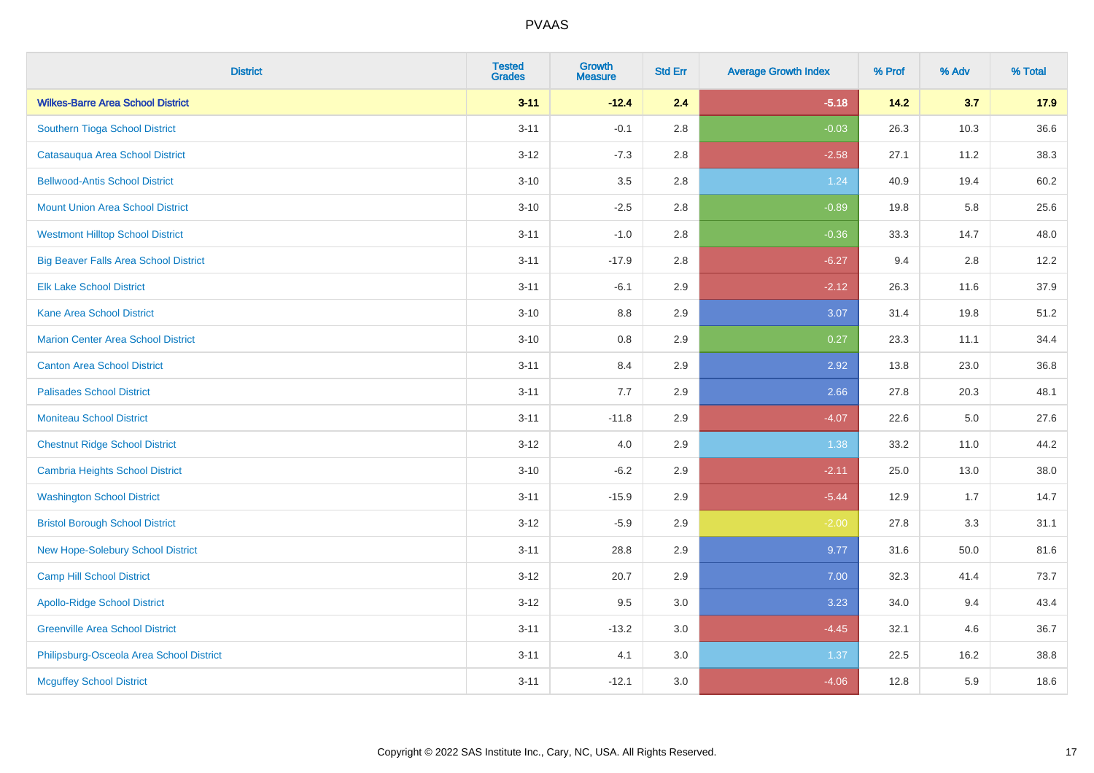| <b>District</b>                              | <b>Tested</b><br><b>Grades</b> | <b>Growth</b><br><b>Measure</b> | <b>Std Err</b> | <b>Average Growth Index</b> | % Prof | % Adv   | % Total |
|----------------------------------------------|--------------------------------|---------------------------------|----------------|-----------------------------|--------|---------|---------|
| <b>Wilkes-Barre Area School District</b>     | $3 - 11$                       | $-12.4$                         | 2.4            | $-5.18$                     | 14.2   | 3.7     | 17.9    |
| Southern Tioga School District               | $3 - 11$                       | $-0.1$                          | 2.8            | $-0.03$                     | 26.3   | 10.3    | 36.6    |
| Catasauqua Area School District              | $3 - 12$                       | $-7.3$                          | 2.8            | $-2.58$                     | 27.1   | 11.2    | 38.3    |
| <b>Bellwood-Antis School District</b>        | $3 - 10$                       | 3.5                             | 2.8            | 1.24                        | 40.9   | 19.4    | 60.2    |
| <b>Mount Union Area School District</b>      | $3 - 10$                       | $-2.5$                          | 2.8            | $-0.89$                     | 19.8   | 5.8     | 25.6    |
| <b>Westmont Hilltop School District</b>      | $3 - 11$                       | $-1.0$                          | 2.8            | $-0.36$                     | 33.3   | 14.7    | 48.0    |
| <b>Big Beaver Falls Area School District</b> | $3 - 11$                       | $-17.9$                         | 2.8            | $-6.27$                     | 9.4    | 2.8     | 12.2    |
| <b>Elk Lake School District</b>              | $3 - 11$                       | $-6.1$                          | 2.9            | $-2.12$                     | 26.3   | 11.6    | 37.9    |
| <b>Kane Area School District</b>             | $3 - 10$                       | 8.8                             | 2.9            | 3.07                        | 31.4   | 19.8    | 51.2    |
| <b>Marion Center Area School District</b>    | $3 - 10$                       | 0.8                             | 2.9            | 0.27                        | 23.3   | 11.1    | 34.4    |
| <b>Canton Area School District</b>           | $3 - 11$                       | 8.4                             | 2.9            | 2.92                        | 13.8   | 23.0    | 36.8    |
| <b>Palisades School District</b>             | $3 - 11$                       | 7.7                             | 2.9            | 2.66                        | 27.8   | 20.3    | 48.1    |
| <b>Moniteau School District</b>              | $3 - 11$                       | $-11.8$                         | 2.9            | $-4.07$                     | 22.6   | $5.0\,$ | 27.6    |
| <b>Chestnut Ridge School District</b>        | $3 - 12$                       | $4.0\,$                         | 2.9            | 1.38                        | 33.2   | 11.0    | 44.2    |
| <b>Cambria Heights School District</b>       | $3 - 10$                       | $-6.2$                          | 2.9            | $-2.11$                     | 25.0   | 13.0    | 38.0    |
| <b>Washington School District</b>            | $3 - 11$                       | $-15.9$                         | 2.9            | $-5.44$                     | 12.9   | 1.7     | 14.7    |
| <b>Bristol Borough School District</b>       | $3 - 12$                       | $-5.9$                          | 2.9            | $-2.00$                     | 27.8   | 3.3     | 31.1    |
| New Hope-Solebury School District            | $3 - 11$                       | 28.8                            | 2.9            | 9.77                        | 31.6   | 50.0    | 81.6    |
| Camp Hill School District                    | $3 - 12$                       | 20.7                            | 2.9            | 7.00                        | 32.3   | 41.4    | 73.7    |
| <b>Apollo-Ridge School District</b>          | $3 - 12$                       | 9.5                             | 3.0            | 3.23                        | 34.0   | 9.4     | 43.4    |
| <b>Greenville Area School District</b>       | $3 - 11$                       | $-13.2$                         | 3.0            | $-4.45$                     | 32.1   | 4.6     | 36.7    |
| Philipsburg-Osceola Area School District     | $3 - 11$                       | 4.1                             | 3.0            | 1.37                        | 22.5   | 16.2    | 38.8    |
| <b>Mcguffey School District</b>              | $3 - 11$                       | $-12.1$                         | 3.0            | $-4.06$                     | 12.8   | 5.9     | 18.6    |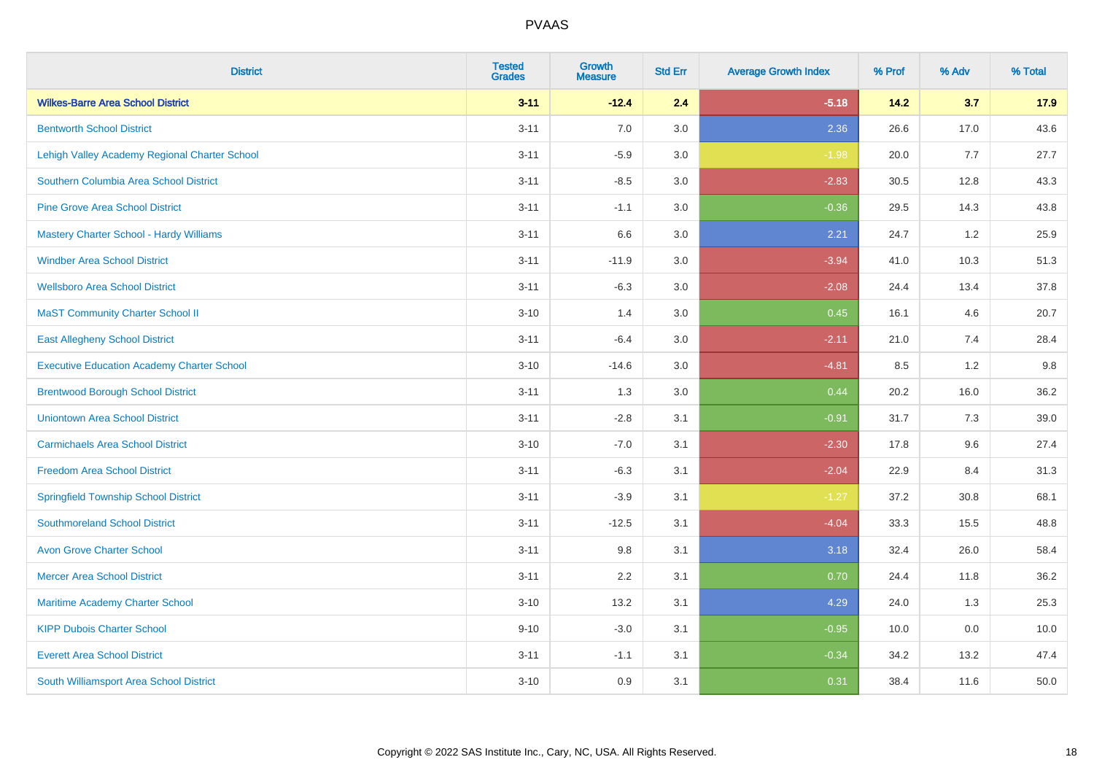| <b>District</b>                                   | <b>Tested</b><br><b>Grades</b> | <b>Growth</b><br><b>Measure</b> | <b>Std Err</b> | <b>Average Growth Index</b> | % Prof | % Adv | % Total |
|---------------------------------------------------|--------------------------------|---------------------------------|----------------|-----------------------------|--------|-------|---------|
| <b>Wilkes-Barre Area School District</b>          | $3 - 11$                       | $-12.4$                         | 2.4            | $-5.18$                     | 14.2   | 3.7   | 17.9    |
| <b>Bentworth School District</b>                  | $3 - 11$                       | 7.0                             | 3.0            | 2.36                        | 26.6   | 17.0  | 43.6    |
| Lehigh Valley Academy Regional Charter School     | $3 - 11$                       | $-5.9$                          | 3.0            | $-1.98$                     | 20.0   | 7.7   | 27.7    |
| Southern Columbia Area School District            | $3 - 11$                       | $-8.5$                          | 3.0            | $-2.83$                     | 30.5   | 12.8  | 43.3    |
| <b>Pine Grove Area School District</b>            | $3 - 11$                       | $-1.1$                          | 3.0            | $-0.36$                     | 29.5   | 14.3  | 43.8    |
| Mastery Charter School - Hardy Williams           | $3 - 11$                       | 6.6                             | 3.0            | 2.21                        | 24.7   | 1.2   | 25.9    |
| <b>Windber Area School District</b>               | $3 - 11$                       | $-11.9$                         | 3.0            | $-3.94$                     | 41.0   | 10.3  | 51.3    |
| <b>Wellsboro Area School District</b>             | $3 - 11$                       | $-6.3$                          | 3.0            | $-2.08$                     | 24.4   | 13.4  | 37.8    |
| <b>MaST Community Charter School II</b>           | $3 - 10$                       | 1.4                             | 3.0            | 0.45                        | 16.1   | 4.6   | 20.7    |
| <b>East Allegheny School District</b>             | $3 - 11$                       | $-6.4$                          | 3.0            | $-2.11$                     | 21.0   | 7.4   | 28.4    |
| <b>Executive Education Academy Charter School</b> | $3 - 10$                       | $-14.6$                         | 3.0            | $-4.81$                     | 8.5    | 1.2   | 9.8     |
| <b>Brentwood Borough School District</b>          | $3 - 11$                       | 1.3                             | 3.0            | 0.44                        | 20.2   | 16.0  | 36.2    |
| <b>Uniontown Area School District</b>             | $3 - 11$                       | $-2.8$                          | 3.1            | $-0.91$                     | 31.7   | 7.3   | 39.0    |
| <b>Carmichaels Area School District</b>           | $3 - 10$                       | $-7.0$                          | 3.1            | $-2.30$                     | 17.8   | 9.6   | 27.4    |
| <b>Freedom Area School District</b>               | $3 - 11$                       | $-6.3$                          | 3.1            | $-2.04$                     | 22.9   | 8.4   | 31.3    |
| <b>Springfield Township School District</b>       | $3 - 11$                       | $-3.9$                          | 3.1            | $-1.27$                     | 37.2   | 30.8  | 68.1    |
| <b>Southmoreland School District</b>              | $3 - 11$                       | $-12.5$                         | 3.1            | $-4.04$                     | 33.3   | 15.5  | 48.8    |
| <b>Avon Grove Charter School</b>                  | $3 - 11$                       | 9.8                             | 3.1            | 3.18                        | 32.4   | 26.0  | 58.4    |
| <b>Mercer Area School District</b>                | $3 - 11$                       | 2.2                             | 3.1            | 0.70                        | 24.4   | 11.8  | 36.2    |
| Maritime Academy Charter School                   | $3 - 10$                       | 13.2                            | 3.1            | 4.29                        | 24.0   | 1.3   | 25.3    |
| <b>KIPP Dubois Charter School</b>                 | $9 - 10$                       | $-3.0$                          | 3.1            | $-0.95$                     | 10.0   | 0.0   | 10.0    |
| <b>Everett Area School District</b>               | $3 - 11$                       | $-1.1$                          | 3.1            | $-0.34$                     | 34.2   | 13.2  | 47.4    |
| South Williamsport Area School District           | $3 - 10$                       | 0.9                             | 3.1            | 0.31                        | 38.4   | 11.6  | 50.0    |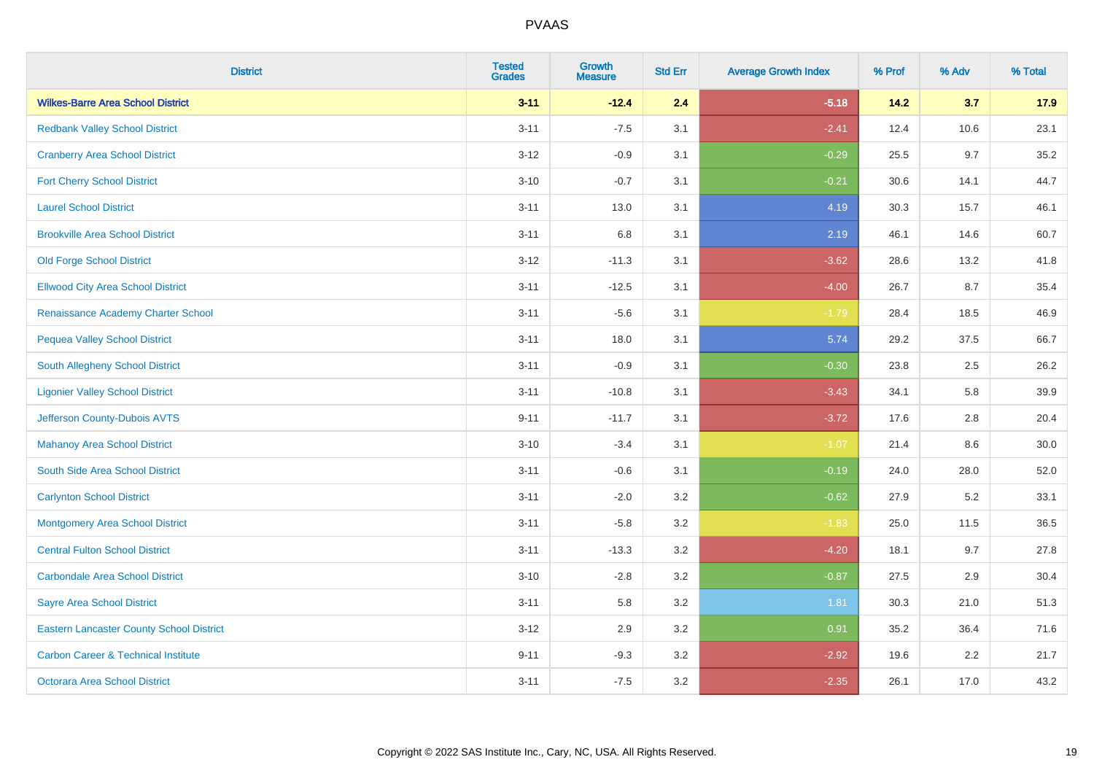| <b>District</b>                                 | <b>Tested</b><br><b>Grades</b> | Growth<br><b>Measure</b> | <b>Std Err</b> | <b>Average Growth Index</b> | % Prof | % Adv   | % Total |
|-------------------------------------------------|--------------------------------|--------------------------|----------------|-----------------------------|--------|---------|---------|
| <b>Wilkes-Barre Area School District</b>        | $3 - 11$                       | $-12.4$                  | 2.4            | $-5.18$                     | 14.2   | 3.7     | 17.9    |
| <b>Redbank Valley School District</b>           | $3 - 11$                       | $-7.5$                   | 3.1            | $-2.41$                     | 12.4   | 10.6    | 23.1    |
| <b>Cranberry Area School District</b>           | $3 - 12$                       | $-0.9$                   | 3.1            | $-0.29$                     | 25.5   | 9.7     | 35.2    |
| <b>Fort Cherry School District</b>              | $3 - 10$                       | $-0.7$                   | 3.1            | $-0.21$                     | 30.6   | 14.1    | 44.7    |
| <b>Laurel School District</b>                   | $3 - 11$                       | 13.0                     | 3.1            | 4.19                        | 30.3   | 15.7    | 46.1    |
| <b>Brookville Area School District</b>          | $3 - 11$                       | 6.8                      | 3.1            | 2.19                        | 46.1   | 14.6    | 60.7    |
| <b>Old Forge School District</b>                | $3 - 12$                       | $-11.3$                  | 3.1            | $-3.62$                     | 28.6   | 13.2    | 41.8    |
| <b>Ellwood City Area School District</b>        | $3 - 11$                       | $-12.5$                  | 3.1            | $-4.00$                     | 26.7   | 8.7     | 35.4    |
| Renaissance Academy Charter School              | $3 - 11$                       | $-5.6$                   | 3.1            | $-1.79$                     | 28.4   | 18.5    | 46.9    |
| <b>Pequea Valley School District</b>            | $3 - 11$                       | 18.0                     | 3.1            | 5.74                        | 29.2   | 37.5    | 66.7    |
| South Allegheny School District                 | $3 - 11$                       | $-0.9$                   | 3.1            | $-0.30$                     | 23.8   | 2.5     | 26.2    |
| <b>Ligonier Valley School District</b>          | $3 - 11$                       | $-10.8$                  | 3.1            | $-3.43$                     | 34.1   | 5.8     | 39.9    |
| Jefferson County-Dubois AVTS                    | $9 - 11$                       | $-11.7$                  | 3.1            | $-3.72$                     | 17.6   | 2.8     | 20.4    |
| <b>Mahanoy Area School District</b>             | $3 - 10$                       | $-3.4$                   | 3.1            | $-1.07$                     | 21.4   | $8.6\,$ | 30.0    |
| South Side Area School District                 | $3 - 11$                       | $-0.6$                   | 3.1            | $-0.19$                     | 24.0   | 28.0    | 52.0    |
| <b>Carlynton School District</b>                | $3 - 11$                       | $-2.0$                   | 3.2            | $-0.62$                     | 27.9   | 5.2     | 33.1    |
| <b>Montgomery Area School District</b>          | $3 - 11$                       | $-5.8$                   | 3.2            | $-1.83$                     | 25.0   | 11.5    | 36.5    |
| <b>Central Fulton School District</b>           | $3 - 11$                       | $-13.3$                  | 3.2            | $-4.20$                     | 18.1   | 9.7     | 27.8    |
| <b>Carbondale Area School District</b>          | $3 - 10$                       | $-2.8$                   | 3.2            | $-0.87$                     | 27.5   | 2.9     | 30.4    |
| <b>Sayre Area School District</b>               | $3 - 11$                       | 5.8                      | 3.2            | 1.81                        | 30.3   | 21.0    | 51.3    |
| <b>Eastern Lancaster County School District</b> | $3 - 12$                       | 2.9                      | 3.2            | 0.91                        | 35.2   | 36.4    | 71.6    |
| <b>Carbon Career &amp; Technical Institute</b>  | $9 - 11$                       | $-9.3$                   | 3.2            | $-2.92$                     | 19.6   | 2.2     | 21.7    |
| <b>Octorara Area School District</b>            | $3 - 11$                       | $-7.5$                   | 3.2            | $-2.35$                     | 26.1   | 17.0    | 43.2    |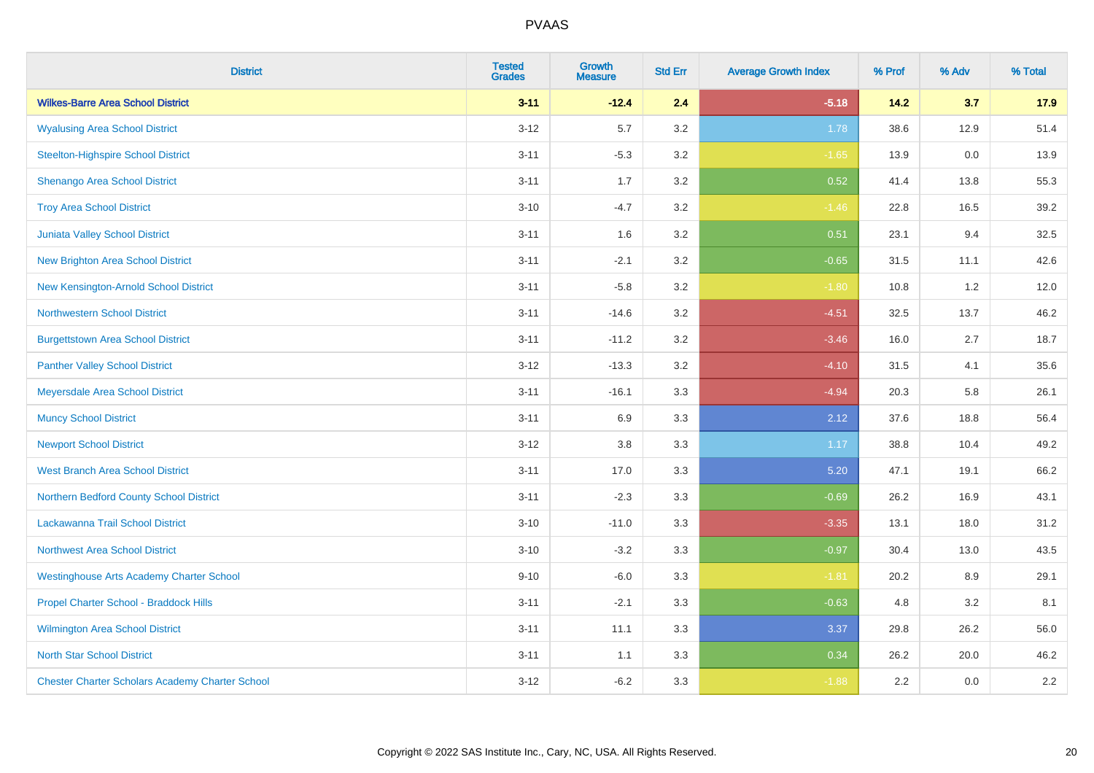| <b>District</b>                                        | <b>Tested</b><br><b>Grades</b> | <b>Growth</b><br><b>Measure</b> | <b>Std Err</b> | <b>Average Growth Index</b> | % Prof | % Adv | % Total |
|--------------------------------------------------------|--------------------------------|---------------------------------|----------------|-----------------------------|--------|-------|---------|
| <b>Wilkes-Barre Area School District</b>               | $3 - 11$                       | $-12.4$                         | 2.4            | $-5.18$                     | 14.2   | 3.7   | 17.9    |
| <b>Wyalusing Area School District</b>                  | $3 - 12$                       | 5.7                             | 3.2            | 1.78                        | 38.6   | 12.9  | 51.4    |
| <b>Steelton-Highspire School District</b>              | $3 - 11$                       | $-5.3$                          | 3.2            | $-1.65$                     | 13.9   | 0.0   | 13.9    |
| Shenango Area School District                          | $3 - 11$                       | 1.7                             | 3.2            | 0.52                        | 41.4   | 13.8  | 55.3    |
| <b>Troy Area School District</b>                       | $3 - 10$                       | $-4.7$                          | 3.2            | $-1.46$                     | 22.8   | 16.5  | 39.2    |
| Juniata Valley School District                         | $3 - 11$                       | 1.6                             | 3.2            | 0.51                        | 23.1   | 9.4   | 32.5    |
| <b>New Brighton Area School District</b>               | $3 - 11$                       | $-2.1$                          | 3.2            | $-0.65$                     | 31.5   | 11.1  | 42.6    |
| <b>New Kensington-Arnold School District</b>           | $3 - 11$                       | $-5.8$                          | 3.2            | $-1.80$                     | 10.8   | 1.2   | 12.0    |
| <b>Northwestern School District</b>                    | $3 - 11$                       | $-14.6$                         | 3.2            | $-4.51$                     | 32.5   | 13.7  | 46.2    |
| <b>Burgettstown Area School District</b>               | $3 - 11$                       | $-11.2$                         | 3.2            | $-3.46$                     | 16.0   | 2.7   | 18.7    |
| <b>Panther Valley School District</b>                  | $3 - 12$                       | $-13.3$                         | 3.2            | $-4.10$                     | 31.5   | 4.1   | 35.6    |
| Meyersdale Area School District                        | $3 - 11$                       | $-16.1$                         | 3.3            | $-4.94$                     | 20.3   | 5.8   | 26.1    |
| <b>Muncy School District</b>                           | $3 - 11$                       | 6.9                             | 3.3            | 2.12                        | 37.6   | 18.8  | 56.4    |
| <b>Newport School District</b>                         | $3 - 12$                       | 3.8                             | 3.3            | 1.17                        | 38.8   | 10.4  | 49.2    |
| <b>West Branch Area School District</b>                | $3 - 11$                       | 17.0                            | 3.3            | 5.20                        | 47.1   | 19.1  | 66.2    |
| Northern Bedford County School District                | $3 - 11$                       | $-2.3$                          | 3.3            | $-0.69$                     | 26.2   | 16.9  | 43.1    |
| Lackawanna Trail School District                       | $3 - 10$                       | $-11.0$                         | 3.3            | $-3.35$                     | 13.1   | 18.0  | 31.2    |
| <b>Northwest Area School District</b>                  | $3 - 10$                       | $-3.2$                          | 3.3            | $-0.97$                     | 30.4   | 13.0  | 43.5    |
| <b>Westinghouse Arts Academy Charter School</b>        | $9 - 10$                       | $-6.0$                          | 3.3            | $-1.81$                     | 20.2   | 8.9   | 29.1    |
| Propel Charter School - Braddock Hills                 | $3 - 11$                       | $-2.1$                          | 3.3            | $-0.63$                     | 4.8    | 3.2   | 8.1     |
| <b>Wilmington Area School District</b>                 | $3 - 11$                       | 11.1                            | 3.3            | 3.37                        | 29.8   | 26.2  | 56.0    |
| <b>North Star School District</b>                      | $3 - 11$                       | 1.1                             | 3.3            | 0.34                        | 26.2   | 20.0  | 46.2    |
| <b>Chester Charter Scholars Academy Charter School</b> | $3 - 12$                       | $-6.2$                          | 3.3            | $-1.88$                     | 2.2    | 0.0   | $2.2\,$ |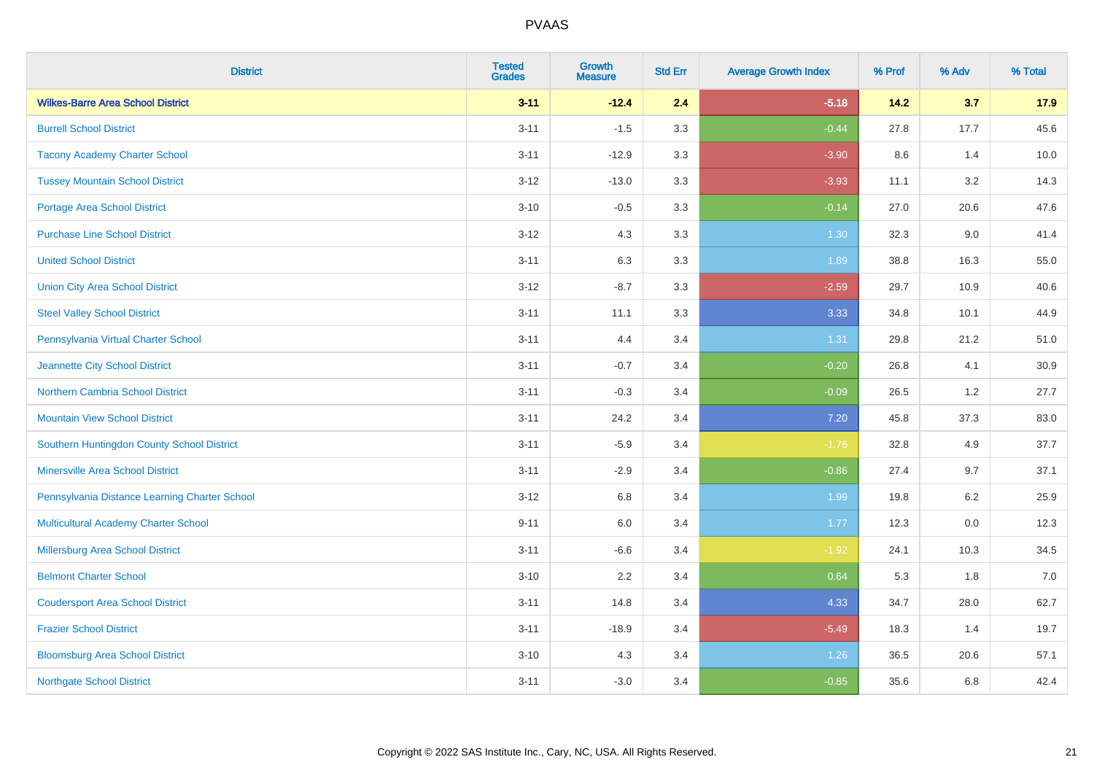| <b>District</b>                               | <b>Tested</b><br><b>Grades</b> | <b>Growth</b><br><b>Measure</b> | <b>Std Err</b> | <b>Average Growth Index</b> | % Prof | % Adv   | % Total |
|-----------------------------------------------|--------------------------------|---------------------------------|----------------|-----------------------------|--------|---------|---------|
| <b>Wilkes-Barre Area School District</b>      | $3 - 11$                       | $-12.4$                         | 2.4            | $-5.18$                     | 14.2   | 3.7     | 17.9    |
| <b>Burrell School District</b>                | $3 - 11$                       | $-1.5$                          | 3.3            | $-0.44$                     | 27.8   | 17.7    | 45.6    |
| <b>Tacony Academy Charter School</b>          | $3 - 11$                       | $-12.9$                         | 3.3            | $-3.90$                     | 8.6    | 1.4     | 10.0    |
| <b>Tussey Mountain School District</b>        | $3 - 12$                       | $-13.0$                         | 3.3            | $-3.93$                     | 11.1   | 3.2     | 14.3    |
| Portage Area School District                  | $3 - 10$                       | $-0.5$                          | 3.3            | $-0.14$                     | 27.0   | 20.6    | 47.6    |
| <b>Purchase Line School District</b>          | $3 - 12$                       | 4.3                             | 3.3            | 1.30                        | 32.3   | 9.0     | 41.4    |
| <b>United School District</b>                 | $3 - 11$                       | 6.3                             | 3.3            | 1.89                        | 38.8   | 16.3    | 55.0    |
| <b>Union City Area School District</b>        | $3 - 12$                       | $-8.7$                          | 3.3            | $-2.59$                     | 29.7   | 10.9    | 40.6    |
| <b>Steel Valley School District</b>           | $3 - 11$                       | 11.1                            | 3.3            | 3.33                        | 34.8   | 10.1    | 44.9    |
| Pennsylvania Virtual Charter School           | $3 - 11$                       | 4.4                             | 3.4            | 1.31                        | 29.8   | 21.2    | 51.0    |
| Jeannette City School District                | $3 - 11$                       | $-0.7$                          | 3.4            | $-0.20$                     | 26.8   | 4.1     | 30.9    |
| Northern Cambria School District              | $3 - 11$                       | $-0.3$                          | 3.4            | $-0.09$                     | 26.5   | 1.2     | 27.7    |
| <b>Mountain View School District</b>          | $3 - 11$                       | 24.2                            | 3.4            | 7.20                        | 45.8   | 37.3    | 83.0    |
| Southern Huntingdon County School District    | $3 - 11$                       | $-5.9$                          | 3.4            | $-1.76$                     | 32.8   | 4.9     | 37.7    |
| <b>Minersville Area School District</b>       | $3 - 11$                       | $-2.9$                          | 3.4            | $-0.86$                     | 27.4   | 9.7     | 37.1    |
| Pennsylvania Distance Learning Charter School | $3 - 12$                       | 6.8                             | 3.4            | 1.99                        | 19.8   | 6.2     | 25.9    |
| <b>Multicultural Academy Charter School</b>   | $9 - 11$                       | 6.0                             | 3.4            | 1.77                        | 12.3   | $0.0\,$ | 12.3    |
| Millersburg Area School District              | $3 - 11$                       | $-6.6$                          | 3.4            | $-1.92$                     | 24.1   | 10.3    | 34.5    |
| <b>Belmont Charter School</b>                 | $3 - 10$                       | 2.2                             | 3.4            | 0.64                        | 5.3    | 1.8     | 7.0     |
| <b>Coudersport Area School District</b>       | $3 - 11$                       | 14.8                            | 3.4            | 4.33                        | 34.7   | 28.0    | 62.7    |
| <b>Frazier School District</b>                | $3 - 11$                       | $-18.9$                         | 3.4            | $-5.49$                     | 18.3   | 1.4     | 19.7    |
| <b>Bloomsburg Area School District</b>        | $3 - 10$                       | 4.3                             | 3.4            | 1.26                        | 36.5   | 20.6    | 57.1    |
| <b>Northgate School District</b>              | $3 - 11$                       | $-3.0$                          | 3.4            | $-0.85$                     | 35.6   | 6.8     | 42.4    |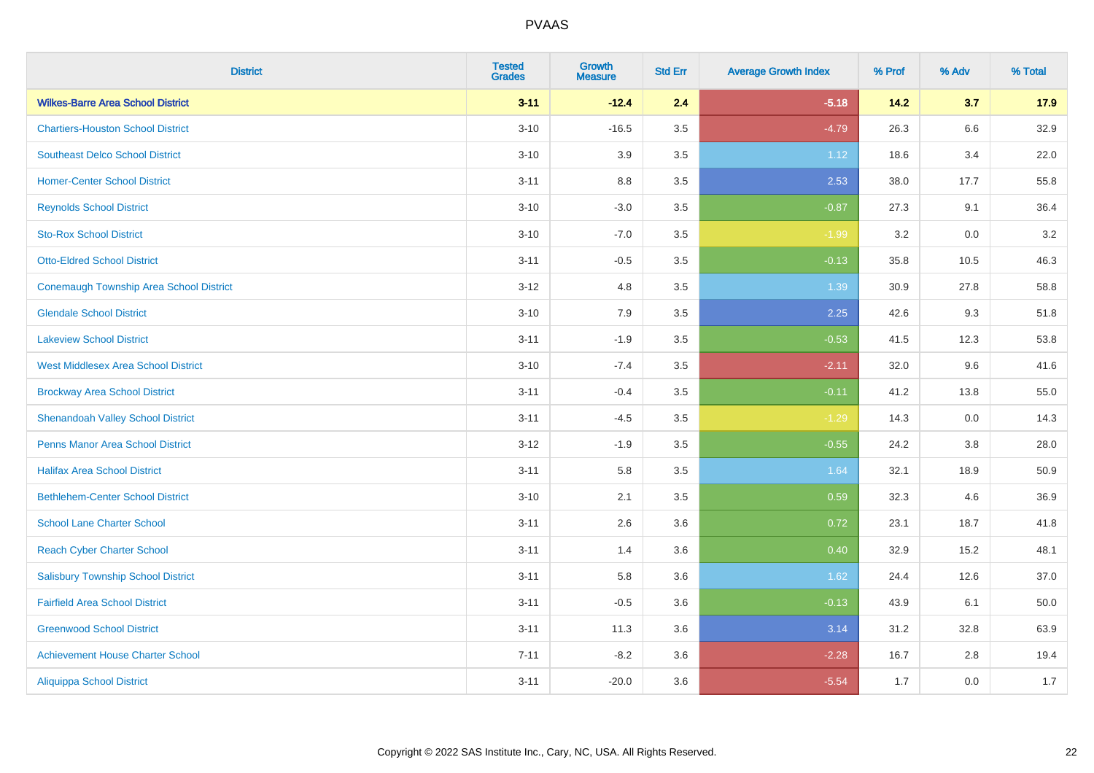| <b>District</b>                            | <b>Tested</b><br><b>Grades</b> | <b>Growth</b><br><b>Measure</b> | <b>Std Err</b> | <b>Average Growth Index</b> | % Prof | % Adv   | % Total |
|--------------------------------------------|--------------------------------|---------------------------------|----------------|-----------------------------|--------|---------|---------|
| <b>Wilkes-Barre Area School District</b>   | $3 - 11$                       | $-12.4$                         | 2.4            | $-5.18$                     | 14.2   | 3.7     | 17.9    |
| <b>Chartiers-Houston School District</b>   | $3 - 10$                       | $-16.5$                         | 3.5            | $-4.79$                     | 26.3   | 6.6     | 32.9    |
| <b>Southeast Delco School District</b>     | $3 - 10$                       | 3.9                             | 3.5            | 1.12                        | 18.6   | 3.4     | 22.0    |
| <b>Homer-Center School District</b>        | $3 - 11$                       | $8.8\,$                         | 3.5            | 2.53                        | 38.0   | 17.7    | 55.8    |
| <b>Reynolds School District</b>            | $3 - 10$                       | $-3.0$                          | 3.5            | $-0.87$                     | 27.3   | 9.1     | 36.4    |
| <b>Sto-Rox School District</b>             | $3 - 10$                       | $-7.0$                          | 3.5            | $-1.99$                     | 3.2    | 0.0     | 3.2     |
| <b>Otto-Eldred School District</b>         | $3 - 11$                       | $-0.5$                          | 3.5            | $-0.13$                     | 35.8   | 10.5    | 46.3    |
| Conemaugh Township Area School District    | $3 - 12$                       | 4.8                             | 3.5            | 1.39                        | 30.9   | 27.8    | 58.8    |
| <b>Glendale School District</b>            | $3 - 10$                       | 7.9                             | 3.5            | 2.25                        | 42.6   | 9.3     | 51.8    |
| <b>Lakeview School District</b>            | $3 - 11$                       | $-1.9$                          | 3.5            | $-0.53$                     | 41.5   | 12.3    | 53.8    |
| <b>West Middlesex Area School District</b> | $3 - 10$                       | $-7.4$                          | 3.5            | $-2.11$                     | 32.0   | 9.6     | 41.6    |
| <b>Brockway Area School District</b>       | $3 - 11$                       | $-0.4$                          | 3.5            | $-0.11$                     | 41.2   | 13.8    | 55.0    |
| <b>Shenandoah Valley School District</b>   | $3 - 11$                       | $-4.5$                          | 3.5            | $-1.29$                     | 14.3   | 0.0     | 14.3    |
| <b>Penns Manor Area School District</b>    | $3 - 12$                       | $-1.9$                          | 3.5            | $-0.55$                     | 24.2   | $3.8\,$ | 28.0    |
| <b>Halifax Area School District</b>        | $3 - 11$                       | 5.8                             | 3.5            | 1.64                        | 32.1   | 18.9    | 50.9    |
| <b>Bethlehem-Center School District</b>    | $3 - 10$                       | 2.1                             | 3.5            | 0.59                        | 32.3   | 4.6     | 36.9    |
| <b>School Lane Charter School</b>          | $3 - 11$                       | 2.6                             | 3.6            | 0.72                        | 23.1   | 18.7    | 41.8    |
| <b>Reach Cyber Charter School</b>          | $3 - 11$                       | 1.4                             | 3.6            | 0.40                        | 32.9   | 15.2    | 48.1    |
| <b>Salisbury Township School District</b>  | $3 - 11$                       | 5.8                             | 3.6            | 1.62                        | 24.4   | 12.6    | 37.0    |
| <b>Fairfield Area School District</b>      | $3 - 11$                       | $-0.5$                          | 3.6            | $-0.13$                     | 43.9   | 6.1     | 50.0    |
| <b>Greenwood School District</b>           | $3 - 11$                       | 11.3                            | 3.6            | 3.14                        | 31.2   | 32.8    | 63.9    |
| <b>Achievement House Charter School</b>    | $7 - 11$                       | $-8.2$                          | 3.6            | $-2.28$                     | 16.7   | 2.8     | 19.4    |
| <b>Aliquippa School District</b>           | $3 - 11$                       | $-20.0$                         | 3.6            | $-5.54$                     | 1.7    | 0.0     | 1.7     |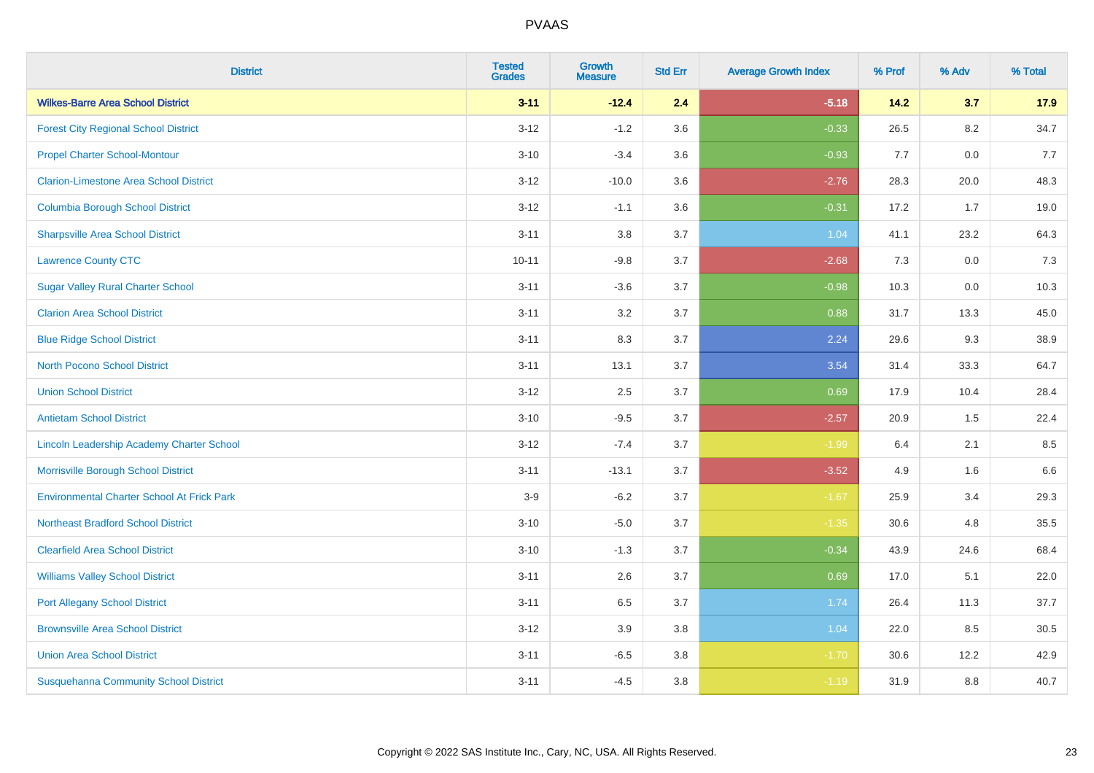| <b>District</b>                                   | <b>Tested</b><br><b>Grades</b> | <b>Growth</b><br><b>Measure</b> | <b>Std Err</b> | <b>Average Growth Index</b> | % Prof | % Adv   | % Total |
|---------------------------------------------------|--------------------------------|---------------------------------|----------------|-----------------------------|--------|---------|---------|
| <b>Wilkes-Barre Area School District</b>          | $3 - 11$                       | $-12.4$                         | 2.4            | $-5.18$                     | 14.2   | 3.7     | 17.9    |
| <b>Forest City Regional School District</b>       | $3 - 12$                       | $-1.2$                          | 3.6            | $-0.33$                     | 26.5   | $8.2\,$ | 34.7    |
| <b>Propel Charter School-Montour</b>              | $3 - 10$                       | $-3.4$                          | 3.6            | $-0.93$                     | 7.7    | 0.0     | 7.7     |
| <b>Clarion-Limestone Area School District</b>     | $3 - 12$                       | $-10.0$                         | 3.6            | $-2.76$                     | 28.3   | 20.0    | 48.3    |
| <b>Columbia Borough School District</b>           | $3 - 12$                       | $-1.1$                          | 3.6            | $-0.31$                     | 17.2   | 1.7     | 19.0    |
| <b>Sharpsville Area School District</b>           | $3 - 11$                       | 3.8                             | 3.7            | 1.04                        | 41.1   | 23.2    | 64.3    |
| <b>Lawrence County CTC</b>                        | $10 - 11$                      | $-9.8$                          | 3.7            | $-2.68$                     | 7.3    | 0.0     | 7.3     |
| <b>Sugar Valley Rural Charter School</b>          | $3 - 11$                       | $-3.6$                          | 3.7            | $-0.98$                     | 10.3   | 0.0     | 10.3    |
| <b>Clarion Area School District</b>               | $3 - 11$                       | 3.2                             | 3.7            | 0.88                        | 31.7   | 13.3    | 45.0    |
| <b>Blue Ridge School District</b>                 | $3 - 11$                       | 8.3                             | 3.7            | 2.24                        | 29.6   | 9.3     | 38.9    |
| <b>North Pocono School District</b>               | $3 - 11$                       | 13.1                            | 3.7            | 3.54                        | 31.4   | 33.3    | 64.7    |
| <b>Union School District</b>                      | $3 - 12$                       | 2.5                             | 3.7            | 0.69                        | 17.9   | 10.4    | 28.4    |
| <b>Antietam School District</b>                   | $3 - 10$                       | $-9.5$                          | 3.7            | $-2.57$                     | 20.9   | $1.5\,$ | 22.4    |
| Lincoln Leadership Academy Charter School         | $3 - 12$                       | $-7.4$                          | 3.7            | $-1.99$                     | 6.4    | 2.1     | 8.5     |
| Morrisville Borough School District               | $3 - 11$                       | $-13.1$                         | 3.7            | $-3.52$                     | 4.9    | 1.6     | 6.6     |
| <b>Environmental Charter School At Frick Park</b> | $3-9$                          | $-6.2$                          | 3.7            | $-1.67$                     | 25.9   | 3.4     | 29.3    |
| <b>Northeast Bradford School District</b>         | $3 - 10$                       | $-5.0$                          | 3.7            | $-1.35$                     | 30.6   | 4.8     | 35.5    |
| <b>Clearfield Area School District</b>            | $3 - 10$                       | $-1.3$                          | 3.7            | $-0.34$                     | 43.9   | 24.6    | 68.4    |
| <b>Williams Valley School District</b>            | $3 - 11$                       | 2.6                             | 3.7            | 0.69                        | 17.0   | 5.1     | 22.0    |
| <b>Port Allegany School District</b>              | $3 - 11$                       | 6.5                             | 3.7            | 1.74                        | 26.4   | 11.3    | 37.7    |
| <b>Brownsville Area School District</b>           | $3 - 12$                       | 3.9                             | 3.8            | 1.04                        | 22.0   | 8.5     | 30.5    |
| <b>Union Area School District</b>                 | $3 - 11$                       | $-6.5$                          | 3.8            | $-1.70$                     | 30.6   | 12.2    | 42.9    |
| <b>Susquehanna Community School District</b>      | $3 - 11$                       | $-4.5$                          | 3.8            | $-1.19$                     | 31.9   | 8.8     | 40.7    |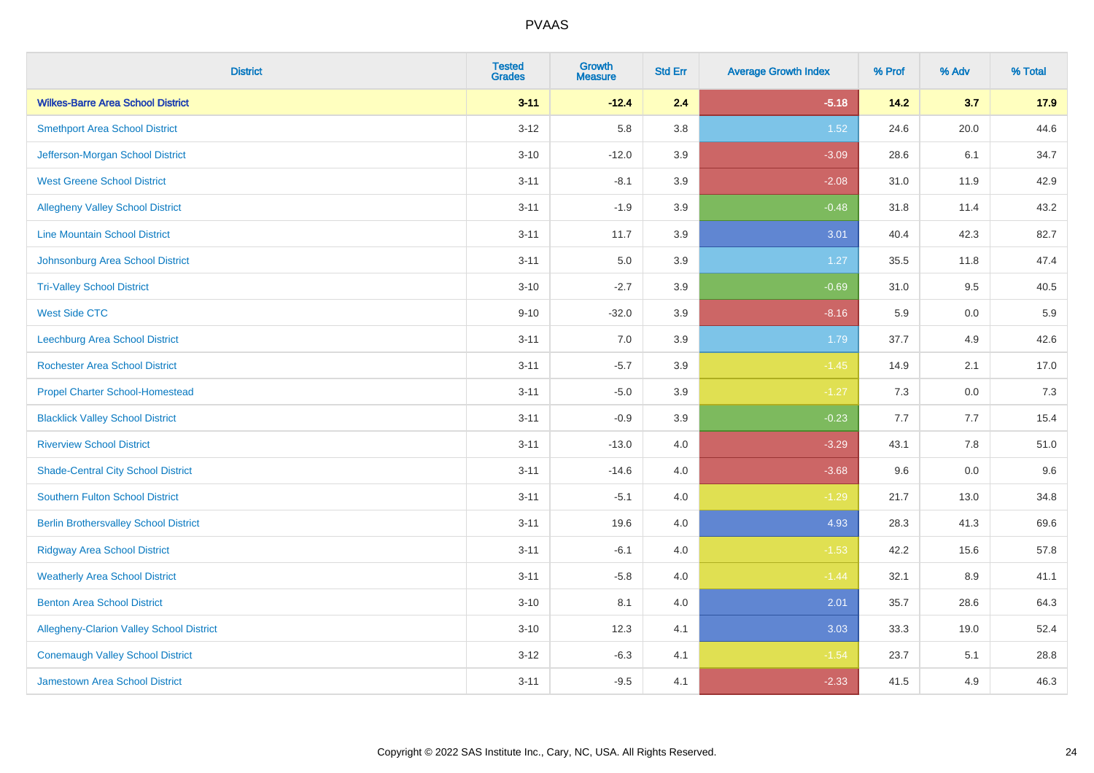| <b>District</b>                                 | <b>Tested</b><br><b>Grades</b> | <b>Growth</b><br><b>Measure</b> | <b>Std Err</b> | <b>Average Growth Index</b> | % Prof | % Adv   | % Total |
|-------------------------------------------------|--------------------------------|---------------------------------|----------------|-----------------------------|--------|---------|---------|
| <b>Wilkes-Barre Area School District</b>        | $3 - 11$                       | $-12.4$                         | 2.4            | $-5.18$                     | 14.2   | 3.7     | 17.9    |
| <b>Smethport Area School District</b>           | $3 - 12$                       | 5.8                             | 3.8            | 1.52                        | 24.6   | 20.0    | 44.6    |
| Jefferson-Morgan School District                | $3 - 10$                       | $-12.0$                         | 3.9            | $-3.09$                     | 28.6   | 6.1     | 34.7    |
| <b>West Greene School District</b>              | $3 - 11$                       | $-8.1$                          | 3.9            | $-2.08$                     | 31.0   | 11.9    | 42.9    |
| <b>Allegheny Valley School District</b>         | $3 - 11$                       | $-1.9$                          | 3.9            | $-0.48$                     | 31.8   | 11.4    | 43.2    |
| <b>Line Mountain School District</b>            | $3 - 11$                       | 11.7                            | 3.9            | 3.01                        | 40.4   | 42.3    | 82.7    |
| Johnsonburg Area School District                | $3 - 11$                       | 5.0                             | 3.9            | 1.27                        | 35.5   | 11.8    | 47.4    |
| <b>Tri-Valley School District</b>               | $3 - 10$                       | $-2.7$                          | 3.9            | $-0.69$                     | 31.0   | 9.5     | 40.5    |
| <b>West Side CTC</b>                            | $9 - 10$                       | $-32.0$                         | 3.9            | $-8.16$                     | 5.9    | 0.0     | 5.9     |
| <b>Leechburg Area School District</b>           | $3 - 11$                       | 7.0                             | 3.9            | 1.79                        | 37.7   | 4.9     | 42.6    |
| <b>Rochester Area School District</b>           | $3 - 11$                       | $-5.7$                          | 3.9            | $-1.45$                     | 14.9   | 2.1     | 17.0    |
| <b>Propel Charter School-Homestead</b>          | $3 - 11$                       | $-5.0$                          | 3.9            | $-1.27$                     | 7.3    | 0.0     | 7.3     |
| <b>Blacklick Valley School District</b>         | $3 - 11$                       | $-0.9$                          | 3.9            | $-0.23$                     | 7.7    | 7.7     | 15.4    |
| <b>Riverview School District</b>                | $3 - 11$                       | $-13.0$                         | $4.0$          | $-3.29$                     | 43.1   | $7.8\,$ | 51.0    |
| <b>Shade-Central City School District</b>       | $3 - 11$                       | $-14.6$                         | 4.0            | $-3.68$                     | 9.6    | 0.0     | 9.6     |
| <b>Southern Fulton School District</b>          | $3 - 11$                       | $-5.1$                          | 4.0            | $-1.29$                     | 21.7   | 13.0    | 34.8    |
| <b>Berlin Brothersvalley School District</b>    | $3 - 11$                       | 19.6                            | 4.0            | 4.93                        | 28.3   | 41.3    | 69.6    |
| <b>Ridgway Area School District</b>             | $3 - 11$                       | $-6.1$                          | 4.0            | $-1.53$                     | 42.2   | 15.6    | 57.8    |
| <b>Weatherly Area School District</b>           | $3 - 11$                       | $-5.8$                          | $4.0$          | $-1.44$                     | 32.1   | 8.9     | 41.1    |
| <b>Benton Area School District</b>              | $3 - 10$                       | 8.1                             | 4.0            | 2.01                        | 35.7   | 28.6    | 64.3    |
| <b>Allegheny-Clarion Valley School District</b> | $3 - 10$                       | 12.3                            | 4.1            | 3.03                        | 33.3   | 19.0    | 52.4    |
| <b>Conemaugh Valley School District</b>         | $3 - 12$                       | $-6.3$                          | 4.1            | $-1.54$                     | 23.7   | 5.1     | 28.8    |
| Jamestown Area School District                  | $3 - 11$                       | $-9.5$                          | 4.1            | $-2.33$                     | 41.5   | 4.9     | 46.3    |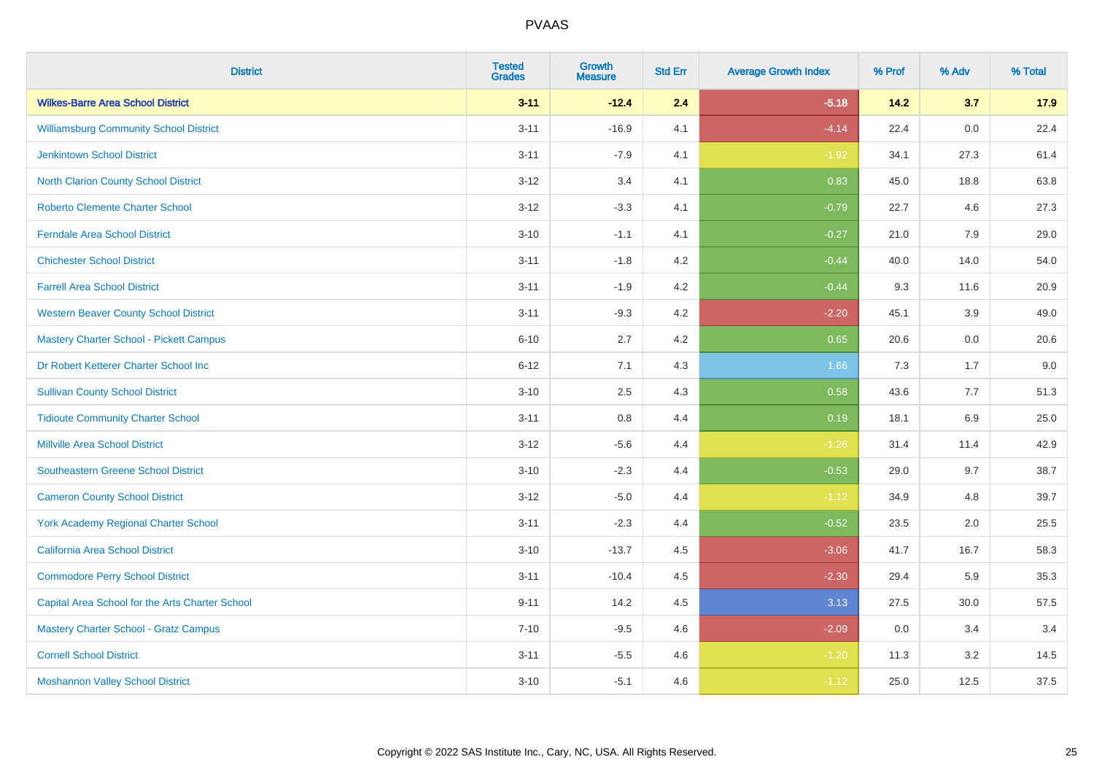| <b>District</b>                                 | <b>Tested</b><br><b>Grades</b> | <b>Growth</b><br><b>Measure</b> | <b>Std Err</b> | <b>Average Growth Index</b> | % Prof | % Adv | % Total |
|-------------------------------------------------|--------------------------------|---------------------------------|----------------|-----------------------------|--------|-------|---------|
| <b>Wilkes-Barre Area School District</b>        | $3 - 11$                       | $-12.4$                         | 2.4            | $-5.18$                     | 14.2   | 3.7   | 17.9    |
| <b>Williamsburg Community School District</b>   | $3 - 11$                       | $-16.9$                         | 4.1            | $-4.14$                     | 22.4   | 0.0   | 22.4    |
| <b>Jenkintown School District</b>               | $3 - 11$                       | $-7.9$                          | 4.1            | $-1.92$                     | 34.1   | 27.3  | 61.4    |
| North Clarion County School District            | $3 - 12$                       | 3.4                             | 4.1            | 0.83                        | 45.0   | 18.8  | 63.8    |
| <b>Roberto Clemente Charter School</b>          | $3 - 12$                       | $-3.3$                          | 4.1            | $-0.79$                     | 22.7   | 4.6   | 27.3    |
| <b>Ferndale Area School District</b>            | $3 - 10$                       | $-1.1$                          | 4.1            | $-0.27$                     | 21.0   | 7.9   | 29.0    |
| <b>Chichester School District</b>               | $3 - 11$                       | $-1.8$                          | 4.2            | $-0.44$                     | 40.0   | 14.0  | 54.0    |
| <b>Farrell Area School District</b>             | $3 - 11$                       | $-1.9$                          | 4.2            | $-0.44$                     | 9.3    | 11.6  | 20.9    |
| <b>Western Beaver County School District</b>    | $3 - 11$                       | $-9.3$                          | 4.2            | $-2.20$                     | 45.1   | 3.9   | 49.0    |
| <b>Mastery Charter School - Pickett Campus</b>  | $6 - 10$                       | 2.7                             | 4.2            | 0.65                        | 20.6   | 0.0   | 20.6    |
| Dr Robert Ketterer Charter School Inc           | $6 - 12$                       | 7.1                             | 4.3            | 1.66                        | 7.3    | 1.7   | 9.0     |
| <b>Sullivan County School District</b>          | $3 - 10$                       | 2.5                             | 4.3            | 0.58                        | 43.6   | 7.7   | 51.3    |
| <b>Tidioute Community Charter School</b>        | $3 - 11$                       | 0.8                             | 4.4            | 0.19                        | 18.1   | 6.9   | 25.0    |
| <b>Millville Area School District</b>           | $3 - 12$                       | $-5.6$                          | 4.4            | $-1.26$                     | 31.4   | 11.4  | 42.9    |
| <b>Southeastern Greene School District</b>      | $3 - 10$                       | $-2.3$                          | 4.4            | $-0.53$                     | 29.0   | 9.7   | 38.7    |
| <b>Cameron County School District</b>           | $3 - 12$                       | $-5.0$                          | 4.4            | $-1.12$                     | 34.9   | 4.8   | 39.7    |
| <b>York Academy Regional Charter School</b>     | $3 - 11$                       | $-2.3$                          | 4.4            | $-0.52$                     | 23.5   | 2.0   | 25.5    |
| California Area School District                 | $3 - 10$                       | $-13.7$                         | 4.5            | $-3.06$                     | 41.7   | 16.7  | 58.3    |
| <b>Commodore Perry School District</b>          | $3 - 11$                       | $-10.4$                         | 4.5            | $-2.30$                     | 29.4   | 5.9   | 35.3    |
| Capital Area School for the Arts Charter School | $9 - 11$                       | 14.2                            | 4.5            | 3.13                        | 27.5   | 30.0  | 57.5    |
| <b>Mastery Charter School - Gratz Campus</b>    | $7 - 10$                       | $-9.5$                          | 4.6            | $-2.09$                     | 0.0    | 3.4   | 3.4     |
| <b>Cornell School District</b>                  | $3 - 11$                       | $-5.5$                          | 4.6            | $-1.20$                     | 11.3   | 3.2   | 14.5    |
| <b>Moshannon Valley School District</b>         | $3 - 10$                       | $-5.1$                          | 4.6            | $-1.12$                     | 25.0   | 12.5  | 37.5    |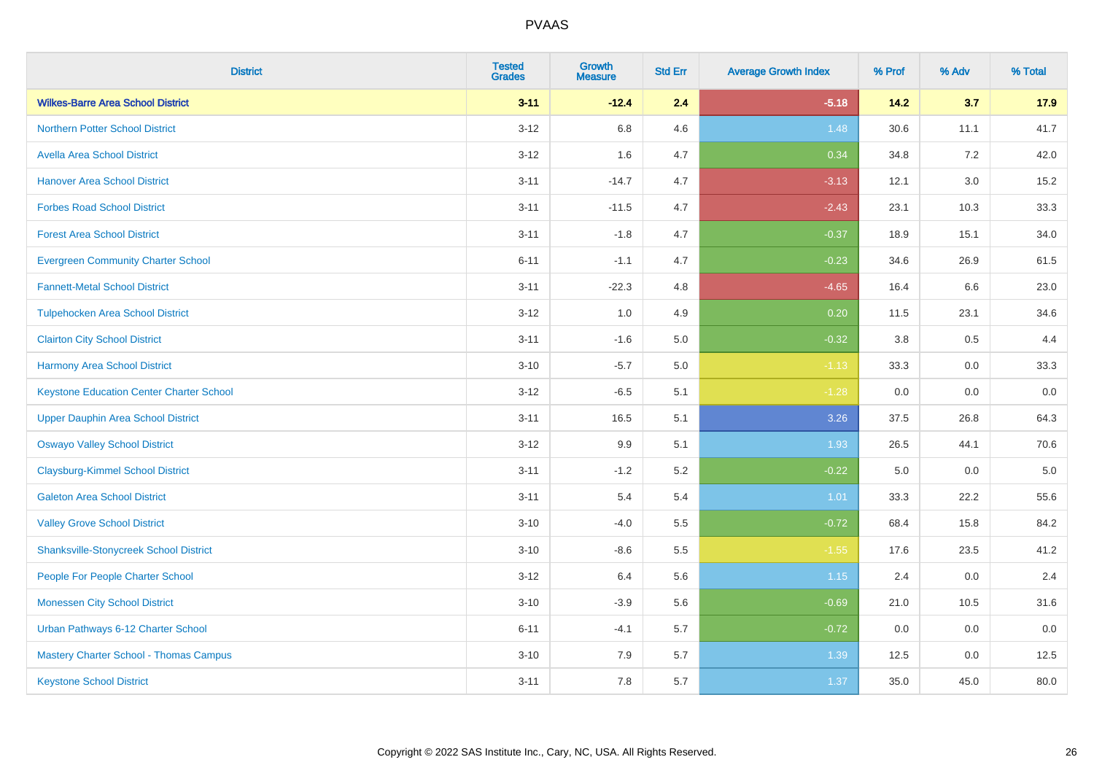| <b>District</b>                                 | <b>Tested</b><br><b>Grades</b> | <b>Growth</b><br><b>Measure</b> | <b>Std Err</b> | <b>Average Growth Index</b> | % Prof | % Adv   | % Total |
|-------------------------------------------------|--------------------------------|---------------------------------|----------------|-----------------------------|--------|---------|---------|
| <b>Wilkes-Barre Area School District</b>        | $3 - 11$                       | $-12.4$                         | 2.4            | $-5.18$                     | 14.2   | 3.7     | 17.9    |
| <b>Northern Potter School District</b>          | $3 - 12$                       | 6.8                             | 4.6            | 1.48                        | 30.6   | 11.1    | 41.7    |
| <b>Avella Area School District</b>              | $3 - 12$                       | 1.6                             | 4.7            | 0.34                        | 34.8   | 7.2     | 42.0    |
| <b>Hanover Area School District</b>             | $3 - 11$                       | $-14.7$                         | 4.7            | $-3.13$                     | 12.1   | $3.0\,$ | 15.2    |
| <b>Forbes Road School District</b>              | $3 - 11$                       | $-11.5$                         | 4.7            | $-2.43$                     | 23.1   | 10.3    | 33.3    |
| <b>Forest Area School District</b>              | $3 - 11$                       | $-1.8$                          | 4.7            | $-0.37$                     | 18.9   | 15.1    | 34.0    |
| <b>Evergreen Community Charter School</b>       | $6 - 11$                       | $-1.1$                          | 4.7            | $-0.23$                     | 34.6   | 26.9    | 61.5    |
| <b>Fannett-Metal School District</b>            | $3 - 11$                       | $-22.3$                         | 4.8            | $-4.65$                     | 16.4   | 6.6     | 23.0    |
| <b>Tulpehocken Area School District</b>         | $3 - 12$                       | 1.0                             | 4.9            | 0.20                        | 11.5   | 23.1    | 34.6    |
| <b>Clairton City School District</b>            | $3 - 11$                       | $-1.6$                          | 5.0            | $-0.32$                     | 3.8    | $0.5\,$ | 4.4     |
| <b>Harmony Area School District</b>             | $3 - 10$                       | $-5.7$                          | 5.0            | $-1.13$                     | 33.3   | 0.0     | 33.3    |
| <b>Keystone Education Center Charter School</b> | $3 - 12$                       | $-6.5$                          | 5.1            | $-1.28$                     | 0.0    | 0.0     | 0.0     |
| <b>Upper Dauphin Area School District</b>       | $3 - 11$                       | 16.5                            | 5.1            | 3.26                        | 37.5   | 26.8    | 64.3    |
| <b>Oswayo Valley School District</b>            | $3 - 12$                       | 9.9                             | 5.1            | 1.93                        | 26.5   | 44.1    | 70.6    |
| <b>Claysburg-Kimmel School District</b>         | $3 - 11$                       | $-1.2$                          | 5.2            | $-0.22$                     | 5.0    | 0.0     | $5.0\,$ |
| <b>Galeton Area School District</b>             | $3 - 11$                       | 5.4                             | 5.4            | 1.01                        | 33.3   | 22.2    | 55.6    |
| <b>Valley Grove School District</b>             | $3 - 10$                       | $-4.0$                          | 5.5            | $-0.72$                     | 68.4   | 15.8    | 84.2    |
| <b>Shanksville-Stonycreek School District</b>   | $3 - 10$                       | $-8.6$                          | 5.5            | $-1.55$                     | 17.6   | 23.5    | 41.2    |
| People For People Charter School                | $3-12$                         | 6.4                             | 5.6            | 1.15                        | 2.4    | 0.0     | 2.4     |
| <b>Monessen City School District</b>            | $3 - 10$                       | $-3.9$                          | 5.6            | $-0.69$                     | 21.0   | 10.5    | 31.6    |
| Urban Pathways 6-12 Charter School              | $6 - 11$                       | $-4.1$                          | 5.7            | $-0.72$                     | 0.0    | 0.0     | 0.0     |
| Mastery Charter School - Thomas Campus          | $3 - 10$                       | 7.9                             | 5.7            | 1.39                        | 12.5   | 0.0     | 12.5    |
| <b>Keystone School District</b>                 | $3 - 11$                       | 7.8                             | 5.7            | 1.37                        | 35.0   | 45.0    | 80.0    |